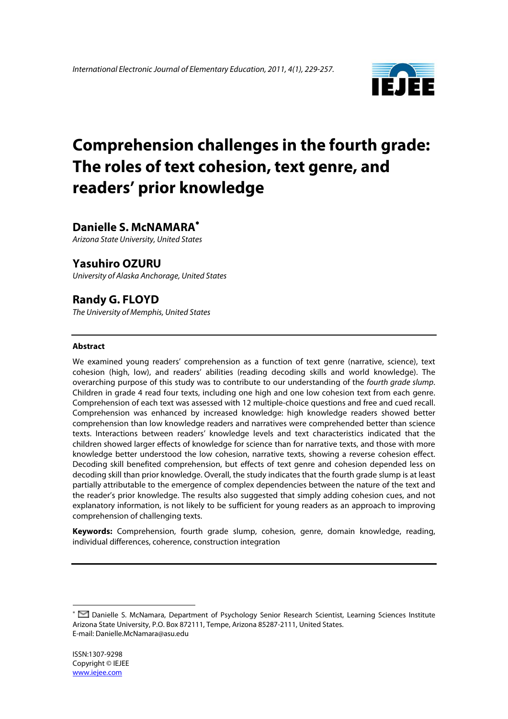

# **Comprehension challenges in the fourth grade: The roles of text cohesion, text genre, and readers' prior knowledge**

# **Danielle S. McNAMARA**<sup>∗</sup>

*Arizona State University, United States*

# **Yasuhiro OZURU**

*University of Alaska Anchorage, United States* 

# **Randy G. FLOYD**

*The University of Memphis, United States* 

#### **Abstract**

We examined young readers' comprehension as a function of text genre (narrative, science), text cohesion (high, low), and readers' abilities (reading decoding skills and world knowledge). The overarching purpose of this study was to contribute to our understanding of the *fourth grade slump*. Children in grade 4 read four texts, including one high and one low cohesion text from each genre. Comprehension of each text was assessed with 12 multiple-choice questions and free and cued recall. Comprehension was enhanced by increased knowledge: high knowledge readers showed better comprehension than low knowledge readers and narratives were comprehended better than science texts. Interactions between readers' knowledge levels and text characteristics indicated that the children showed larger effects of knowledge for science than for narrative texts, and those with more knowledge better understood the low cohesion, narrative texts, showing a reverse cohesion effect. Decoding skill benefited comprehension, but effects of text genre and cohesion depended less on decoding skill than prior knowledge. Overall, the study indicates that the fourth grade slump is at least partially attributable to the emergence of complex dependencies between the nature of the text and the reader's prior knowledge. The results also suggested that simply adding cohesion cues, and not explanatory information, is not likely to be sufficient for young readers as an approach to improving comprehension of challenging texts.

**Keywords:** Comprehension, fourth grade slump, cohesion, genre, domain knowledge, reading, individual differences, coherence, construction integration

 $\overline{a}$ 

<sup>∗</sup> Danielle S. McNamara, Department of Psychology Senior Research Scientist, Learning Sciences Institute Arizona State University, P.O. Box 872111, Tempe, Arizona 85287-2111, United States. E-mail: Danielle.McNamara@asu.edu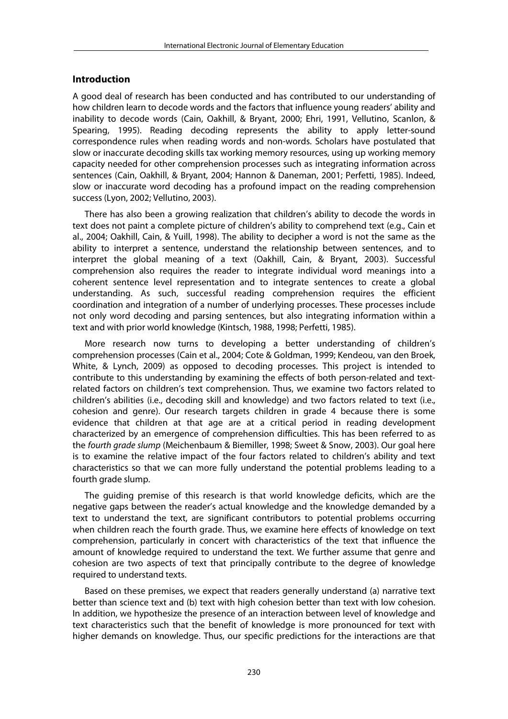# **Introduction**

A good deal of research has been conducted and has contributed to our understanding of how children learn to decode words and the factors that influence young readers' ability and inability to decode words (Cain, Oakhill, & Bryant, 2000; Ehri, 1991, Vellutino, Scanlon, & Spearing, 1995). Reading decoding represents the ability to apply letter-sound correspondence rules when reading words and non-words. Scholars have postulated that slow or inaccurate decoding skills tax working memory resources, using up working memory capacity needed for other comprehension processes such as integrating information across sentences (Cain, Oakhill, & Bryant, 2004; Hannon & Daneman, 2001; Perfetti, 1985). Indeed, slow or inaccurate word decoding has a profound impact on the reading comprehension success (Lyon, 2002; Vellutino, 2003).

There has also been a growing realization that children's ability to decode the words in text does not paint a complete picture of children's ability to comprehend text (e.g., Cain et al., 2004; Oakhill, Cain, & Yuill, 1998). The ability to decipher a word is not the same as the ability to interpret a sentence, understand the relationship between sentences, and to interpret the global meaning of a text (Oakhill, Cain, & Bryant, 2003). Successful comprehension also requires the reader to integrate individual word meanings into a coherent sentence level representation and to integrate sentences to create a global understanding. As such, successful reading comprehension requires the efficient coordination and integration of a number of underlying processes. These processes include not only word decoding and parsing sentences, but also integrating information within a text and with prior world knowledge (Kintsch, 1988, 1998; Perfetti, 1985).

More research now turns to developing a better understanding of children's comprehension processes (Cain et al., 2004; Cote & Goldman, 1999; Kendeou, van den Broek, White, & Lynch, 2009) as opposed to decoding processes. This project is intended to contribute to this understanding by examining the effects of both person-related and textrelated factors on children's text comprehension. Thus, we examine two factors related to children's abilities (i.e., decoding skill and knowledge) and two factors related to text (i.e., cohesion and genre). Our research targets children in grade 4 because there is some evidence that children at that age are at a critical period in reading development characterized by an emergence of comprehension difficulties. This has been referred to as the *fourth grade slump* (Meichenbaum & Biemiller, 1998; Sweet & Snow, 2003). Our goal here is to examine the relative impact of the four factors related to children's ability and text characteristics so that we can more fully understand the potential problems leading to a fourth grade slump.

The guiding premise of this research is that world knowledge deficits, which are the negative gaps between the reader's actual knowledge and the knowledge demanded by a text to understand the text, are significant contributors to potential problems occurring when children reach the fourth grade. Thus, we examine here effects of knowledge on text comprehension, particularly in concert with characteristics of the text that influence the amount of knowledge required to understand the text. We further assume that genre and cohesion are two aspects of text that principally contribute to the degree of knowledge required to understand texts.

Based on these premises, we expect that readers generally understand (a) narrative text better than science text and (b) text with high cohesion better than text with low cohesion. In addition, we hypothesize the presence of an interaction between level of knowledge and text characteristics such that the benefit of knowledge is more pronounced for text with higher demands on knowledge. Thus, our specific predictions for the interactions are that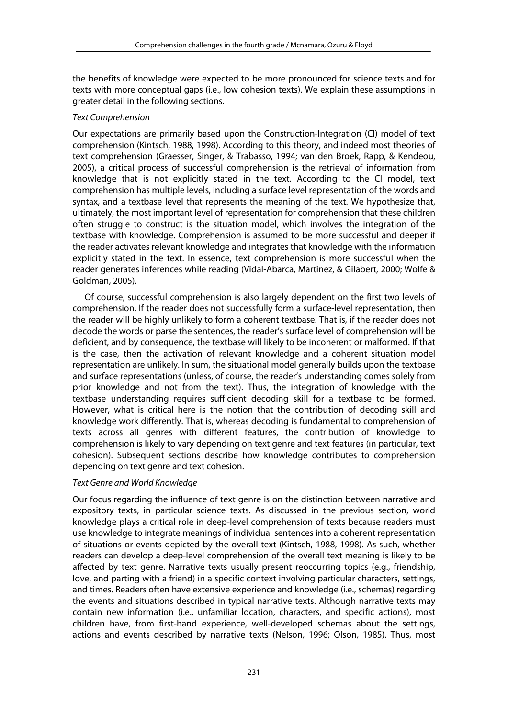the benefits of knowledge were expected to be more pronounced for science texts and for texts with more conceptual gaps (i.e., low cohesion texts). We explain these assumptions in greater detail in the following sections.

# *Text Comprehension*

Our expectations are primarily based upon the Construction-Integration (CI) model of text comprehension (Kintsch, 1988, 1998). According to this theory, and indeed most theories of text comprehension (Graesser, Singer, & Trabasso, 1994; van den Broek, Rapp, & Kendeou, 2005), a critical process of successful comprehension is the retrieval of information from knowledge that is not explicitly stated in the text. According to the CI model, text comprehension has multiple levels, including a surface level representation of the words and syntax, and a textbase level that represents the meaning of the text. We hypothesize that, ultimately, the most important level of representation for comprehension that these children often struggle to construct is the situation model, which involves the integration of the textbase with knowledge. Comprehension is assumed to be more successful and deeper if the reader activates relevant knowledge and integrates that knowledge with the information explicitly stated in the text. In essence, text comprehension is more successful when the reader generates inferences while reading (Vidal-Abarca, Martinez, & Gilabert, 2000; Wolfe & Goldman, 2005).

Of course, successful comprehension is also largely dependent on the first two levels of comprehension. If the reader does not successfully form a surface-level representation, then the reader will be highly unlikely to form a coherent textbase. That is, if the reader does not decode the words or parse the sentences, the reader's surface level of comprehension will be deficient, and by consequence, the textbase will likely to be incoherent or malformed. If that is the case, then the activation of relevant knowledge and a coherent situation model representation are unlikely. In sum, the situational model generally builds upon the textbase and surface representations (unless, of course, the reader's understanding comes solely from prior knowledge and not from the text). Thus, the integration of knowledge with the textbase understanding requires sufficient decoding skill for a textbase to be formed. However, what is critical here is the notion that the contribution of decoding skill and knowledge work differently. That is, whereas decoding is fundamental to comprehension of texts across all genres with different features, the contribution of knowledge to comprehension is likely to vary depending on text genre and text features (in particular, text cohesion). Subsequent sections describe how knowledge contributes to comprehension depending on text genre and text cohesion.

# *Text Genre and World Knowledge*

Our focus regarding the influence of text genre is on the distinction between narrative and expository texts, in particular science texts. As discussed in the previous section, world knowledge plays a critical role in deep-level comprehension of texts because readers must use knowledge to integrate meanings of individual sentences into a coherent representation of situations or events depicted by the overall text (Kintsch, 1988, 1998). As such, whether readers can develop a deep-level comprehension of the overall text meaning is likely to be affected by text genre. Narrative texts usually present reoccurring topics (e.g., friendship, love, and parting with a friend) in a specific context involving particular characters, settings, and times. Readers often have extensive experience and knowledge (i.e., schemas) regarding the events and situations described in typical narrative texts. Although narrative texts may contain new information (i.e., unfamiliar location, characters, and specific actions), most children have, from first-hand experience, well-developed schemas about the settings, actions and events described by narrative texts (Nelson, 1996; Olson, 1985). Thus, most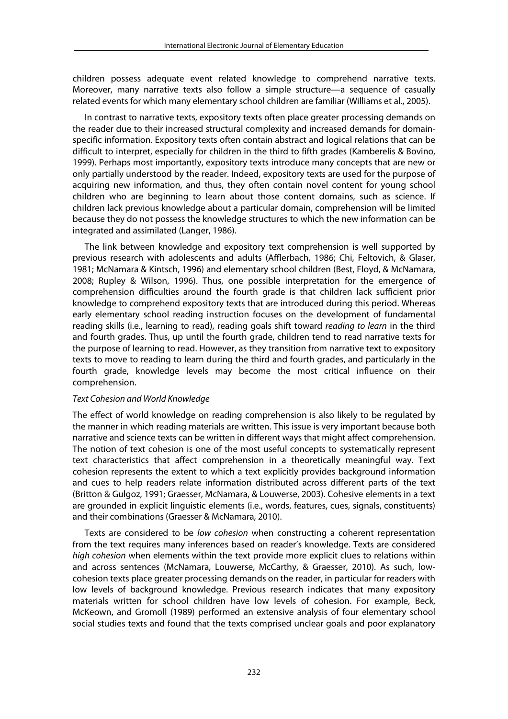children possess adequate event related knowledge to comprehend narrative texts. Moreover, many narrative texts also follow a simple structure—a sequence of casually related events for which many elementary school children are familiar (Williams et al., 2005).

In contrast to narrative texts, expository texts often place greater processing demands on the reader due to their increased structural complexity and increased demands for domainspecific information. Expository texts often contain abstract and logical relations that can be difficult to interpret, especially for children in the third to fifth grades (Kamberelis & Bovino, 1999). Perhaps most importantly, expository texts introduce many concepts that are new or only partially understood by the reader. Indeed, expository texts are used for the purpose of acquiring new information, and thus, they often contain novel content for young school children who are beginning to learn about those content domains, such as science. If children lack previous knowledge about a particular domain, comprehension will be limited because they do not possess the knowledge structures to which the new information can be integrated and assimilated (Langer, 1986).

The link between knowledge and expository text comprehension is well supported by previous research with adolescents and adults (Afflerbach, 1986; Chi, Feltovich, & Glaser, 1981; McNamara & Kintsch, 1996) and elementary school children (Best, Floyd, & McNamara, 2008; Rupley & Wilson, 1996). Thus, one possible interpretation for the emergence of comprehension difficulties around the fourth grade is that children lack sufficient prior knowledge to comprehend expository texts that are introduced during this period. Whereas early elementary school reading instruction focuses on the development of fundamental reading skills (i.e., learning to read), reading goals shift toward *reading to learn* in the third and fourth grades. Thus, up until the fourth grade, children tend to read narrative texts for the purpose of learning to read. However, as they transition from narrative text to expository texts to move to reading to learn during the third and fourth grades, and particularly in the fourth grade, knowledge levels may become the most critical influence on their comprehension.

# *Text Cohesion and World Knowledge*

The effect of world knowledge on reading comprehension is also likely to be regulated by the manner in which reading materials are written. This issue is very important because both narrative and science texts can be written in different ways that might affect comprehension. The notion of text cohesion is one of the most useful concepts to systematically represent text characteristics that affect comprehension in a theoretically meaningful way. Text cohesion represents the extent to which a text explicitly provides background information and cues to help readers relate information distributed across different parts of the text (Britton & Gulgoz, 1991; Graesser, McNamara, & Louwerse, 2003). Cohesive elements in a text are grounded in explicit linguistic elements (i.e., words, features, cues, signals, constituents) and their combinations (Graesser & McNamara, 2010).

Texts are considered to be *low cohesion* when constructing a coherent representation from the text requires many inferences based on reader's knowledge. Texts are considered *high cohesion* when elements within the text provide more explicit clues to relations within and across sentences (McNamara, Louwerse, McCarthy, & Graesser, 2010). As such, lowcohesion texts place greater processing demands on the reader, in particular for readers with low levels of background knowledge. Previous research indicates that many expository materials written for school children have low levels of cohesion. For example, Beck, McKeown, and Gromoll (1989) performed an extensive analysis of four elementary school social studies texts and found that the texts comprised unclear goals and poor explanatory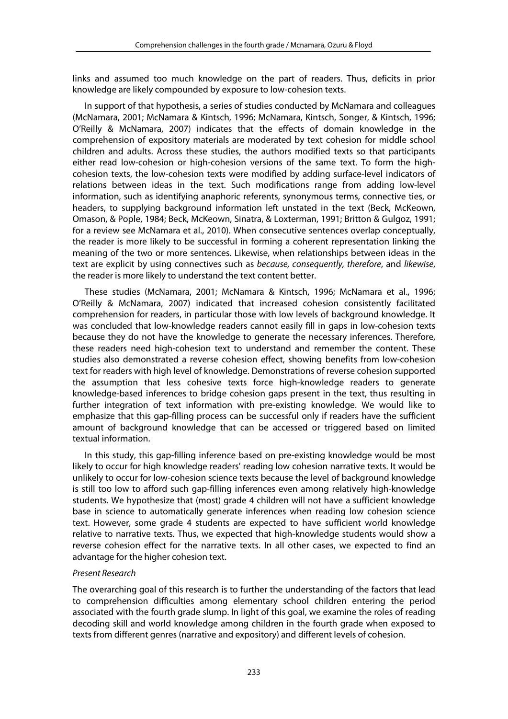links and assumed too much knowledge on the part of readers. Thus, deficits in prior knowledge are likely compounded by exposure to low-cohesion texts.

In support of that hypothesis, a series of studies conducted by McNamara and colleagues (McNamara, 2001; McNamara & Kintsch, 1996; McNamara, Kintsch, Songer, & Kintsch, 1996; O'Reilly & McNamara, 2007) indicates that the effects of domain knowledge in the comprehension of expository materials are moderated by text cohesion for middle school children and adults. Across these studies, the authors modified texts so that participants either read low-cohesion or high-cohesion versions of the same text. To form the highcohesion texts, the low-cohesion texts were modified by adding surface-level indicators of relations between ideas in the text. Such modifications range from adding low-level information, such as identifying anaphoric referents, synonymous terms, connective ties, or headers, to supplying background information left unstated in the text (Beck, McKeown, Omason, & Pople, 1984; Beck, McKeown, Sinatra, & Loxterman, 1991; Britton & Gulgoz, 1991; for a review see McNamara et al., 2010). When consecutive sentences overlap conceptually, the reader is more likely to be successful in forming a coherent representation linking the meaning of the two or more sentences. Likewise, when relationships between ideas in the text are explicit by using connectives such as *because, consequently, therefore*, and *likewise*, the reader is more likely to understand the text content better.

These studies (McNamara, 2001; McNamara & Kintsch, 1996; McNamara et al., 1996; O'Reilly & McNamara, 2007) indicated that increased cohesion consistently facilitated comprehension for readers, in particular those with low levels of background knowledge. It was concluded that low-knowledge readers cannot easily fill in gaps in low-cohesion texts because they do not have the knowledge to generate the necessary inferences. Therefore, these readers need high-cohesion text to understand and remember the content. These studies also demonstrated a reverse cohesion effect, showing benefits from low-cohesion text for readers with high level of knowledge. Demonstrations of reverse cohesion supported the assumption that less cohesive texts force high-knowledge readers to generate knowledge-based inferences to bridge cohesion gaps present in the text, thus resulting in further integration of text information with pre-existing knowledge. We would like to emphasize that this gap-filling process can be successful only if readers have the sufficient amount of background knowledge that can be accessed or triggered based on limited textual information.

In this study, this gap-filling inference based on pre-existing knowledge would be most likely to occur for high knowledge readers' reading low cohesion narrative texts. It would be unlikely to occur for low-cohesion science texts because the level of background knowledge is still too low to afford such gap-filling inferences even among relatively high-knowledge students. We hypothesize that (most) grade 4 children will not have a sufficient knowledge base in science to automatically generate inferences when reading low cohesion science text. However, some grade 4 students are expected to have sufficient world knowledge relative to narrative texts. Thus, we expected that high-knowledge students would show a reverse cohesion effect for the narrative texts. In all other cases, we expected to find an advantage for the higher cohesion text.

# *Present Research*

The overarching goal of this research is to further the understanding of the factors that lead to comprehension difficulties among elementary school children entering the period associated with the fourth grade slump. In light of this goal, we examine the roles of reading decoding skill and world knowledge among children in the fourth grade when exposed to texts from different genres (narrative and expository) and different levels of cohesion.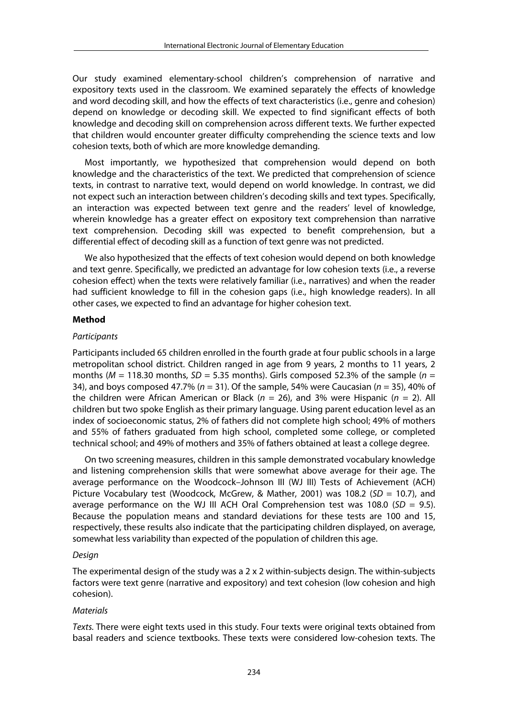Our study examined elementary-school children's comprehension of narrative and expository texts used in the classroom. We examined separately the effects of knowledge and word decoding skill, and how the effects of text characteristics (i.e., genre and cohesion) depend on knowledge or decoding skill. We expected to find significant effects of both knowledge and decoding skill on comprehension across different texts. We further expected that children would encounter greater difficulty comprehending the science texts and low cohesion texts, both of which are more knowledge demanding.

Most importantly, we hypothesized that comprehension would depend on both knowledge and the characteristics of the text. We predicted that comprehension of science texts, in contrast to narrative text, would depend on world knowledge. In contrast, we did not expect such an interaction between children's decoding skills and text types. Specifically, an interaction was expected between text genre and the readers' level of knowledge, wherein knowledge has a greater effect on expository text comprehension than narrative text comprehension. Decoding skill was expected to benefit comprehension, but a differential effect of decoding skill as a function of text genre was not predicted.

We also hypothesized that the effects of text cohesion would depend on both knowledge and text genre. Specifically, we predicted an advantage for low cohesion texts (i.e., a reverse cohesion effect) when the texts were relatively familiar (i.e., narratives) and when the reader had sufficient knowledge to fill in the cohesion gaps (i.e., high knowledge readers). In all other cases, we expected to find an advantage for higher cohesion text.

## **Method**

#### *Participants*

Participants included 65 children enrolled in the fourth grade at four public schools in a large metropolitan school district. Children ranged in age from 9 years, 2 months to 11 years, 2 months ( $M = 118.30$  months,  $SD = 5.35$  months). Girls composed 52.3% of the sample ( $n =$ 34), and boys composed 47.7% (*n* = 31). Of the sample, 54% were Caucasian (*n* = 35), 40% of the children were African American or Black (*n* = 26), and 3% were Hispanic (*n* = 2). All children but two spoke English as their primary language. Using parent education level as an index of socioeconomic status, 2% of fathers did not complete high school; 49% of mothers and 55% of fathers graduated from high school, completed some college, or completed technical school; and 49% of mothers and 35% of fathers obtained at least a college degree.

On two screening measures, children in this sample demonstrated vocabulary knowledge and listening comprehension skills that were somewhat above average for their age. The average performance on the Woodcock–Johnson III (WJ III) Tests of Achievement (ACH) Picture Vocabulary test (Woodcock, McGrew, & Mather, 2001) was 108.2 (*SD* = 10.7), and average performance on the WJ III ACH Oral Comprehension test was 108.0 ( $SD = 9.5$ ). Because the population means and standard deviations for these tests are 100 and 15, respectively, these results also indicate that the participating children displayed, on average, somewhat less variability than expected of the population of children this age.

#### *Design*

The experimental design of the study was a  $2 \times 2$  within-subjects design. The within-subjects factors were text genre (narrative and expository) and text cohesion (low cohesion and high cohesion).

#### *Materials*

*Texts.* There were eight texts used in this study. Four texts were original texts obtained from basal readers and science textbooks. These texts were considered low-cohesion texts. The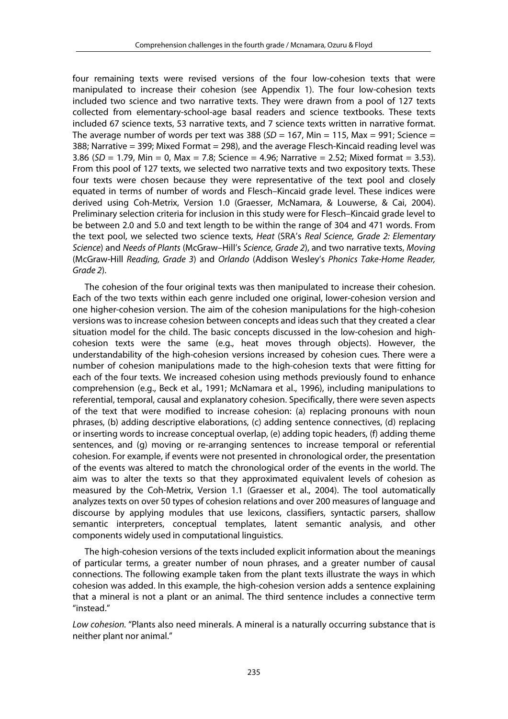four remaining texts were revised versions of the four low-cohesion texts that were manipulated to increase their cohesion (see Appendix 1). The four low-cohesion texts included two science and two narrative texts. They were drawn from a pool of 127 texts collected from elementary-school-age basal readers and science textbooks. These texts included 67 science texts, 53 narrative texts, and 7 science texts written in narrative format. The average number of words per text was 388 ( $SD = 167$ , Min = 115, Max = 991; Science = 388; Narrative = 399; Mixed Format = 298), and the average Flesch-Kincaid reading level was 3.86 (*SD* = 1.79, Min = 0, Max = 7.8; Science = 4.96; Narrative = 2.52; Mixed format = 3.53). From this pool of 127 texts, we selected two narrative texts and two expository texts. These four texts were chosen because they were representative of the text pool and closely equated in terms of number of words and Flesch–Kincaid grade level. These indices were derived using Coh-Metrix, Version 1.0 (Graesser, McNamara, & Louwerse, & Cai, 2004). Preliminary selection criteria for inclusion in this study were for Flesch–Kincaid grade level to be between 2.0 and 5.0 and text length to be within the range of 304 and 471 words. From the text pool, we selected two science texts, *Heat* (SRA's *Real Science, Grade 2: Elementary Science*) and *Needs of Plants* (McGraw–Hill's *Science, Grade 2*), and two narrative texts, *Moving* (McGraw-Hill *Reading, Grade 3*) and *Orlando* (Addison Wesley's *Phonics Take-Home Reader, Grade 2*).

The cohesion of the four original texts was then manipulated to increase their cohesion. Each of the two texts within each genre included one original, lower-cohesion version and one higher-cohesion version. The aim of the cohesion manipulations for the high-cohesion versions was to increase cohesion between concepts and ideas such that they created a clear situation model for the child. The basic concepts discussed in the low-cohesion and highcohesion texts were the same (e.g., heat moves through objects). However, the understandability of the high-cohesion versions increased by cohesion cues. There were a number of cohesion manipulations made to the high-cohesion texts that were fitting for each of the four texts. We increased cohesion using methods previously found to enhance comprehension (e.g., Beck et al., 1991; McNamara et al., 1996), including manipulations to referential, temporal, causal and explanatory cohesion. Specifically, there were seven aspects of the text that were modified to increase cohesion: (a) replacing pronouns with noun phrases, (b) adding descriptive elaborations, (c) adding sentence connectives, (d) replacing or inserting words to increase conceptual overlap, (e) adding topic headers, (f) adding theme sentences, and (g) moving or re-arranging sentences to increase temporal or referential cohesion. For example, if events were not presented in chronological order, the presentation of the events was altered to match the chronological order of the events in the world. The aim was to alter the texts so that they approximated equivalent levels of cohesion as measured by the Coh-Metrix, Version 1.1 (Graesser et al., 2004). The tool automatically analyzes texts on over 50 types of cohesion relations and over 200 measures of language and discourse by applying modules that use lexicons, classifiers, syntactic parsers, shallow semantic interpreters, conceptual templates, latent semantic analysis, and other components widely used in computational linguistics.

The high-cohesion versions of the texts included explicit information about the meanings of particular terms, a greater number of noun phrases, and a greater number of causal connections. The following example taken from the plant texts illustrate the ways in which cohesion was added. In this example, the high-cohesion version adds a sentence explaining that a mineral is not a plant or an animal. The third sentence includes a connective term "instead."

*Low cohesion.* "Plants also need minerals. A mineral is a naturally occurring substance that is neither plant nor animal."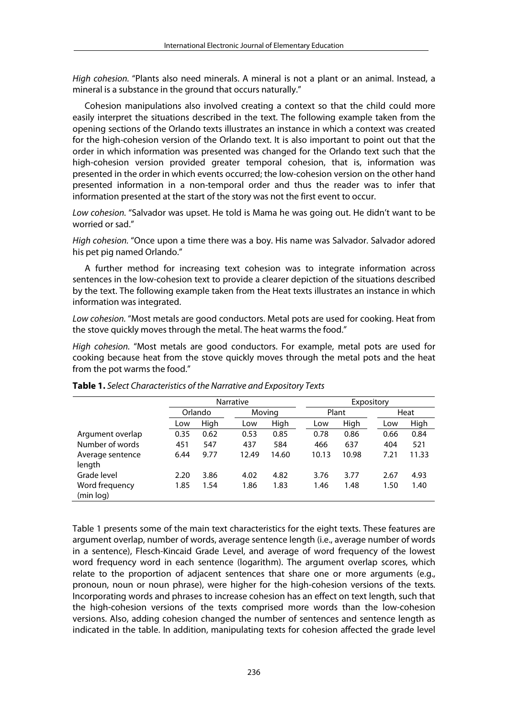*High cohesion.* "Plants also need minerals. A mineral is not a plant or an animal. Instead, a mineral is a substance in the ground that occurs naturally."

Cohesion manipulations also involved creating a context so that the child could more easily interpret the situations described in the text. The following example taken from the opening sections of the Orlando texts illustrates an instance in which a context was created for the high-cohesion version of the Orlando text. It is also important to point out that the order in which information was presented was changed for the Orlando text such that the high-cohesion version provided greater temporal cohesion, that is, information was presented in the order in which events occurred; the low-cohesion version on the other hand presented information in a non-temporal order and thus the reader was to infer that information presented at the start of the story was not the first event to occur.

*Low cohesion.* "Salvador was upset. He told is Mama he was going out. He didn't want to be worried or sad."

*High cohesion.* "Once upon a time there was a boy. His name was Salvador. Salvador adored his pet pig named Orlando."

A further method for increasing text cohesion was to integrate information across sentences in the low-cohesion text to provide a clearer depiction of the situations described by the text. The following example taken from the Heat texts illustrates an instance in which information was integrated.

*Low cohesion.* "Most metals are good conductors. Metal pots are used for cooking. Heat from the stove quickly moves through the metal. The heat warms the food."

*High cohesion.* "Most metals are good conductors. For example, metal pots are used for cooking because heat from the stove quickly moves through the metal pots and the heat from the pot warms the food."

|                  |         | <b>Narrative</b> |        |       | Expository |       |      |       |  |
|------------------|---------|------------------|--------|-------|------------|-------|------|-------|--|
|                  | Orlando |                  | Moving |       |            | Plant |      | Heat  |  |
|                  | Low     | High             | Low    | High  | Low        | High  | Low  | High  |  |
| Argument overlap | 0.35    | 0.62             | 0.53   | 0.85  | 0.78       | 0.86  | 0.66 | 0.84  |  |
| Number of words  | 451     | 547              | 437    | 584   | 466        | 637   | 404  | 521   |  |
| Average sentence | 6.44    | 9.77             | 12.49  | 14.60 | 10.13      | 10.98 | 7.21 | 11.33 |  |
| length           |         |                  |        |       |            |       |      |       |  |
| Grade level      | 2.20    | 3.86             | 4.02   | 4.82  | 3.76       | 3.77  | 2.67 | 4.93  |  |
| Word frequency   | 1.85    | 1.54             | 1.86   | 1.83  | 1.46       | 1.48  | 1.50 | 1.40  |  |
| (min log)        |         |                  |        |       |            |       |      |       |  |

**Table 1.** *Select Characteristics of the Narrative and Expository Texts*

Table 1 presents some of the main text characteristics for the eight texts. These features are argument overlap, number of words, average sentence length (i.e., average number of words in a sentence), Flesch-Kincaid Grade Level, and average of word frequency of the lowest word frequency word in each sentence (logarithm). The argument overlap scores, which relate to the proportion of adjacent sentences that share one or more arguments (e.g., pronoun, noun or noun phrase), were higher for the high-cohesion versions of the texts. Incorporating words and phrases to increase cohesion has an effect on text length, such that the high-cohesion versions of the texts comprised more words than the low-cohesion versions. Also, adding cohesion changed the number of sentences and sentence length as indicated in the table. In addition, manipulating texts for cohesion affected the grade level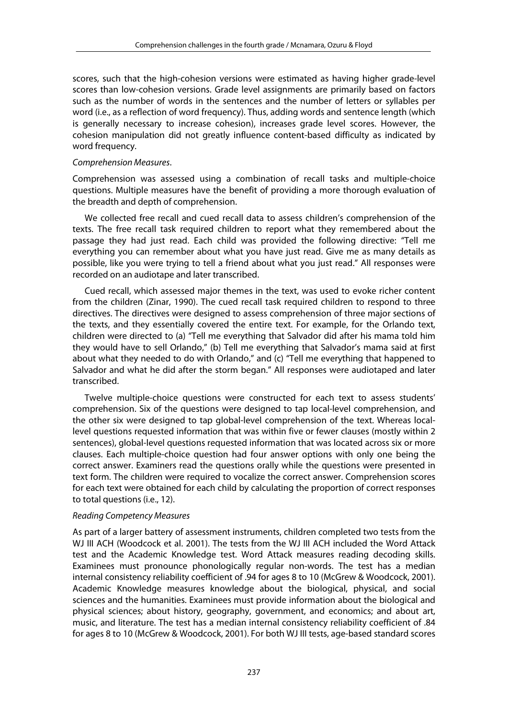scores, such that the high-cohesion versions were estimated as having higher grade-level scores than low-cohesion versions. Grade level assignments are primarily based on factors such as the number of words in the sentences and the number of letters or syllables per word (i.e., as a reflection of word frequency). Thus, adding words and sentence length (which is generally necessary to increase cohesion), increases grade level scores. However, the cohesion manipulation did not greatly influence content-based difficulty as indicated by word frequency.

## *Comprehension Measures*.

Comprehension was assessed using a combination of recall tasks and multiple-choice questions. Multiple measures have the benefit of providing a more thorough evaluation of the breadth and depth of comprehension.

We collected free recall and cued recall data to assess children's comprehension of the texts. The free recall task required children to report what they remembered about the passage they had just read. Each child was provided the following directive: "Tell me everything you can remember about what you have just read. Give me as many details as possible, like you were trying to tell a friend about what you just read." All responses were recorded on an audiotape and later transcribed.

Cued recall, which assessed major themes in the text, was used to evoke richer content from the children (Zinar, 1990). The cued recall task required children to respond to three directives. The directives were designed to assess comprehension of three major sections of the texts, and they essentially covered the entire text. For example, for the Orlando text, children were directed to (a) "Tell me everything that Salvador did after his mama told him they would have to sell Orlando," (b) Tell me everything that Salvador's mama said at first about what they needed to do with Orlando," and (c) "Tell me everything that happened to Salvador and what he did after the storm began." All responses were audiotaped and later transcribed.

Twelve multiple-choice questions were constructed for each text to assess students' comprehension. Six of the questions were designed to tap local-level comprehension, and the other six were designed to tap global-level comprehension of the text. Whereas locallevel questions requested information that was within five or fewer clauses (mostly within 2 sentences), global-level questions requested information that was located across six or more clauses. Each multiple-choice question had four answer options with only one being the correct answer. Examiners read the questions orally while the questions were presented in text form. The children were required to vocalize the correct answer. Comprehension scores for each text were obtained for each child by calculating the proportion of correct responses to total questions (i.e., 12).

#### *Reading Competency Measures*

As part of a larger battery of assessment instruments, children completed two tests from the WJ III ACH (Woodcock et al. 2001). The tests from the WJ III ACH included the Word Attack test and the Academic Knowledge test. Word Attack measures reading decoding skills. Examinees must pronounce phonologically regular non-words. The test has a median internal consistency reliability coefficient of .94 for ages 8 to 10 (McGrew & Woodcock, 2001). Academic Knowledge measures knowledge about the biological, physical, and social sciences and the humanities. Examinees must provide information about the biological and physical sciences; about history, geography, government, and economics; and about art, music, and literature. The test has a median internal consistency reliability coefficient of .84 for ages 8 to 10 (McGrew & Woodcock, 2001). For both WJ III tests, age-based standard scores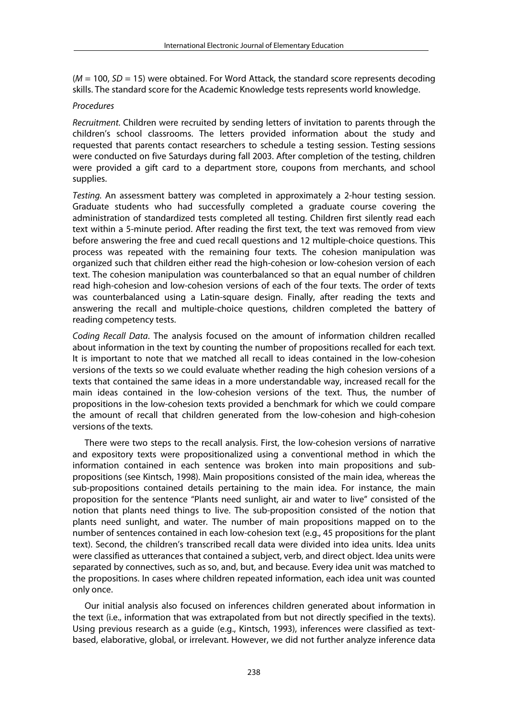(*M* = 100, *SD* = 15) were obtained. For Word Attack, the standard score represents decoding skills. The standard score for the Academic Knowledge tests represents world knowledge.

# *Procedures*

*Recruitment.* Children were recruited by sending letters of invitation to parents through the children's school classrooms. The letters provided information about the study and requested that parents contact researchers to schedule a testing session. Testing sessions were conducted on five Saturdays during fall 2003. After completion of the testing, children were provided a gift card to a department store, coupons from merchants, and school supplies.

*Testing.* An assessment battery was completed in approximately a 2-hour testing session. Graduate students who had successfully completed a graduate course covering the administration of standardized tests completed all testing. Children first silently read each text within a 5-minute period. After reading the first text, the text was removed from view before answering the free and cued recall questions and 12 multiple-choice questions. This process was repeated with the remaining four texts. The cohesion manipulation was organized such that children either read the high-cohesion or low-cohesion version of each text. The cohesion manipulation was counterbalanced so that an equal number of children read high-cohesion and low-cohesion versions of each of the four texts. The order of texts was counterbalanced using a Latin-square design. Finally, after reading the texts and answering the recall and multiple-choice questions, children completed the battery of reading competency tests.

*Coding Recall Data*. The analysis focused on the amount of information children recalled about information in the text by counting the number of propositions recalled for each text. It is important to note that we matched all recall to ideas contained in the low-cohesion versions of the texts so we could evaluate whether reading the high cohesion versions of a texts that contained the same ideas in a more understandable way, increased recall for the main ideas contained in the low-cohesion versions of the text. Thus, the number of propositions in the low-cohesion texts provided a benchmark for which we could compare the amount of recall that children generated from the low-cohesion and high-cohesion versions of the texts.

There were two steps to the recall analysis. First, the low-cohesion versions of narrative and expository texts were propositionalized using a conventional method in which the information contained in each sentence was broken into main propositions and subpropositions (see Kintsch, 1998). Main propositions consisted of the main idea, whereas the sub-propositions contained details pertaining to the main idea. For instance, the main proposition for the sentence "Plants need sunlight, air and water to live" consisted of the notion that plants need things to live. The sub-proposition consisted of the notion that plants need sunlight, and water. The number of main propositions mapped on to the number of sentences contained in each low-cohesion text (e.g., 45 propositions for the plant text). Second, the children's transcribed recall data were divided into idea units. Idea units were classified as utterances that contained a subject, verb, and direct object. Idea units were separated by connectives, such as so, and, but, and because. Every idea unit was matched to the propositions. In cases where children repeated information, each idea unit was counted only once.

Our initial analysis also focused on inferences children generated about information in the text (i.e., information that was extrapolated from but not directly specified in the texts). Using previous research as a guide (e.g., Kintsch, 1993), inferences were classified as textbased, elaborative, global, or irrelevant. However, we did not further analyze inference data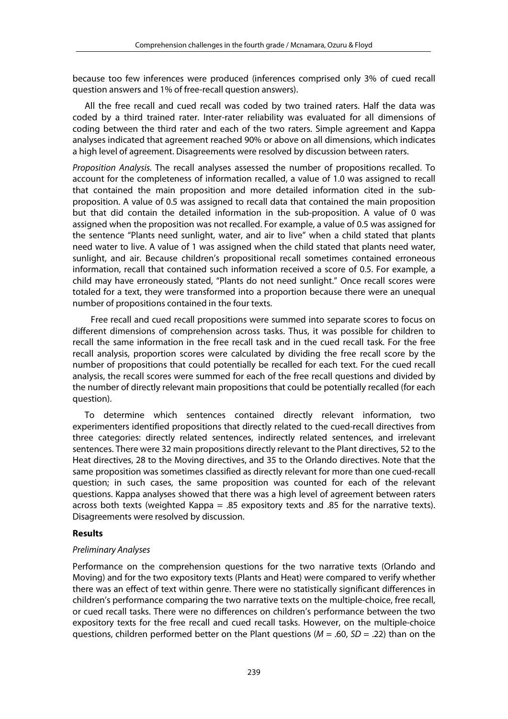because too few inferences were produced (inferences comprised only 3% of cued recall question answers and 1% of free-recall question answers).

All the free recall and cued recall was coded by two trained raters. Half the data was coded by a third trained rater. Inter-rater reliability was evaluated for all dimensions of coding between the third rater and each of the two raters. Simple agreement and Kappa analyses indicated that agreement reached 90% or above on all dimensions, which indicates a high level of agreement. Disagreements were resolved by discussion between raters.

*Proposition Analysis.* The recall analyses assessed the number of propositions recalled. To account for the completeness of information recalled, a value of 1.0 was assigned to recall that contained the main proposition and more detailed information cited in the subproposition. A value of 0.5 was assigned to recall data that contained the main proposition but that did contain the detailed information in the sub-proposition. A value of 0 was assigned when the proposition was not recalled. For example, a value of 0.5 was assigned for the sentence "Plants need sunlight, water, and air to live" when a child stated that plants need water to live. A value of 1 was assigned when the child stated that plants need water, sunlight, and air. Because children's propositional recall sometimes contained erroneous information, recall that contained such information received a score of 0.5. For example, a child may have erroneously stated, "Plants do not need sunlight." Once recall scores were totaled for a text, they were transformed into a proportion because there were an unequal number of propositions contained in the four texts.

Free recall and cued recall propositions were summed into separate scores to focus on different dimensions of comprehension across tasks. Thus, it was possible for children to recall the same information in the free recall task and in the cued recall task. For the free recall analysis, proportion scores were calculated by dividing the free recall score by the number of propositions that could potentially be recalled for each text. For the cued recall analysis, the recall scores were summed for each of the free recall questions and divided by the number of directly relevant main propositions that could be potentially recalled (for each question).

To determine which sentences contained directly relevant information, two experimenters identified propositions that directly related to the cued-recall directives from three categories: directly related sentences, indirectly related sentences, and irrelevant sentences. There were 32 main propositions directly relevant to the Plant directives, 52 to the Heat directives, 28 to the Moving directives, and 35 to the Orlando directives. Note that the same proposition was sometimes classified as directly relevant for more than one cued-recall question; in such cases, the same proposition was counted for each of the relevant questions. Kappa analyses showed that there was a high level of agreement between raters across both texts (weighted Kappa  $= .85$  expository texts and  $.85$  for the narrative texts). Disagreements were resolved by discussion.

# **Results**

# *Preliminary Analyses*

Performance on the comprehension questions for the two narrative texts (Orlando and Moving) and for the two expository texts (Plants and Heat) were compared to verify whether there was an effect of text within genre. There were no statistically significant differences in children's performance comparing the two narrative texts on the multiple-choice, free recall, or cued recall tasks. There were no differences on children's performance between the two expository texts for the free recall and cued recall tasks. However, on the multiple-choice questions, children performed better on the Plant questions (*M* = .60, *SD* = .22) than on the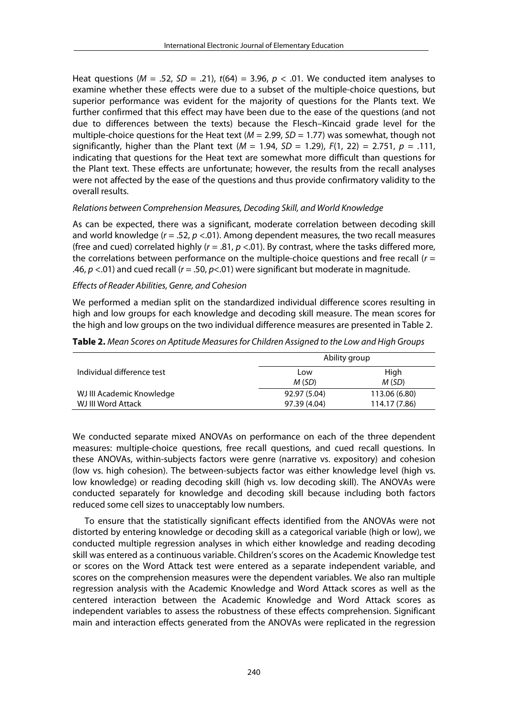Heat questions (*M* = .52, *SD* = .21), *t*(64) = 3.96, *p* < .01. We conducted item analyses to examine whether these effects were due to a subset of the multiple-choice questions, but superior performance was evident for the majority of questions for the Plants text. We further confirmed that this effect may have been due to the ease of the questions (and not due to differences between the texts) because the Flesch–Kincaid grade level for the multiple-choice questions for the Heat text (*M* = 2.99, *SD* = 1.77) was somewhat, though not significantly, higher than the Plant text  $(M = 1.94, SD = 1.29)$ ,  $F(1, 22) = 2.751$ ,  $p = .111$ , indicating that questions for the Heat text are somewhat more difficult than questions for the Plant text. These effects are unfortunate; however, the results from the recall analyses were not affected by the ease of the questions and thus provide confirmatory validity to the overall results.

## *Relations between Comprehension Measures, Decoding Skill, and World Knowledge*

As can be expected, there was a significant, moderate correlation between decoding skill and world knowledge (*r* = .52, *p* <.01). Among dependent measures, the two recall measures (free and cued) correlated highly (*r* = .81, *p* <.01). By contrast, where the tasks differed more, the correlations between performance on the multiple-choice questions and free recall (*r* = .46, *p* <.01) and cued recall (*r* = .50, *p*<.01) were significant but moderate in magnitude.

# *Effects of Reader Abilities, Genre, and Cohesion*

We performed a median split on the standardized individual difference scores resulting in high and low groups for each knowledge and decoding skill measure. The mean scores for the high and low groups on the two individual difference measures are presented in Table 2.

|                            | Ability group |               |
|----------------------------|---------------|---------------|
| Individual difference test | Low<br>M (SD) | High<br>M(SD) |
| WJ III Academic Knowledge  | 92.97 (5.04)  | 113.06 (6.80) |
| WJ III Word Attack         | 97.39 (4.04)  | 114.17 (7.86) |

**Table 2.** *Mean Scores on Aptitude Measures for Children Assigned to the Low and High Groups*

We conducted separate mixed ANOVAs on performance on each of the three dependent measures: multiple-choice questions, free recall questions, and cued recall questions. In these ANOVAs, within-subjects factors were genre (narrative vs. expository) and cohesion (low vs. high cohesion). The between-subjects factor was either knowledge level (high vs. low knowledge) or reading decoding skill (high vs. low decoding skill). The ANOVAs were conducted separately for knowledge and decoding skill because including both factors reduced some cell sizes to unacceptably low numbers.

To ensure that the statistically significant effects identified from the ANOVAs were not distorted by entering knowledge or decoding skill as a categorical variable (high or low), we conducted multiple regression analyses in which either knowledge and reading decoding skill was entered as a continuous variable. Children's scores on the Academic Knowledge test or scores on the Word Attack test were entered as a separate independent variable, and scores on the comprehension measures were the dependent variables. We also ran multiple regression analysis with the Academic Knowledge and Word Attack scores as well as the centered interaction between the Academic Knowledge and Word Attack scores as independent variables to assess the robustness of these effects comprehension. Significant main and interaction effects generated from the ANOVAs were replicated in the regression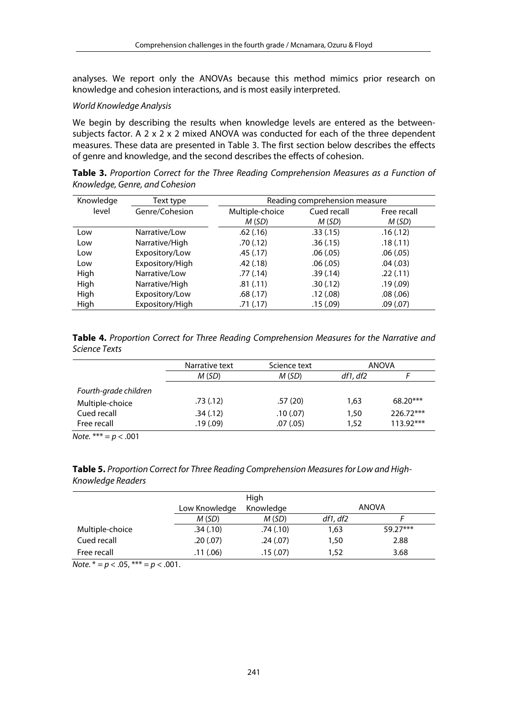analyses. We report only the ANOVAs because this method mimics prior research on knowledge and cohesion interactions, and is most easily interpreted.

# *World Knowledge Analysis*

We begin by describing the results when knowledge levels are entered as the betweensubjects factor. A 2 x 2 x 2 mixed ANOVA was conducted for each of the three dependent measures. These data are presented in Table 3. The first section below describes the effects of genre and knowledge, and the second describes the effects of cohesion.

**Table 3.** *Proportion Correct for the Three Reading Comprehension Measures as a Function of Knowledge, Genre, and Cohesion*

| Knowledge | Text type       | Reading comprehension measure |             |             |  |
|-----------|-----------------|-------------------------------|-------------|-------------|--|
| level     | Genre/Cohesion  | Multiple-choice               | Cued recall | Free recall |  |
|           |                 | M(SD)                         | M (SD)      | M(SD)       |  |
| Low       | Narrative/Low   | .62(.16)                      | .33(.15)    | .16(.12)    |  |
| Low       | Narrative/High  | .70(.12)                      | .36(.15)    | .18(.11)    |  |
| Low       | Expository/Low  | .45(.17)                      | .06(.05)    | .06(.05)    |  |
| Low       | Expository/High | .42(.18)                      | .06(.05)    | .04(.03)    |  |
| High      | Narrative/Low   | .77(0.14)                     | .39(.14)    | .22(.11)    |  |
| High      | Narrative/High  | .81(.11)                      | .30(.12)    | .19(0.09)   |  |
| High      | Expository/Low  | .68(.17)                      | .12(0.08)   | .08(.06)    |  |
| High      | Expository/High | .71(.17)                      | .15(.09)    | .09(0.07)   |  |

**Table 4.** *Proportion Correct for Three Reading Comprehension Measures for the Narrative and Science Texts* 

|                       | Narrative text | Science text | ANOVA    |             |
|-----------------------|----------------|--------------|----------|-------------|
|                       | M(SD)          | M(SD)        | df1, df2 |             |
| Fourth-grade children |                |              |          |             |
| Multiple-choice       | .73(.12)       | .57(20)      | 1.63     | $68.20***$  |
| Cued recall           | .34(.12)       | .10(0.07)    | 1,50     | 226.72***   |
| Free recall           | .19(0.09)      | .07(.05)     | 1,52     | $113.92***$ |

*Note.* \*\*\* = *p* < .001

| Table 5. Proportion Correct for Three Reading Comprehension Measures for Low and High- |  |
|----------------------------------------------------------------------------------------|--|
| Knowledge Readers                                                                      |  |

|                 |                            | High     |          |              |
|-----------------|----------------------------|----------|----------|--------------|
|                 | Knowledge<br>Low Knowledge |          |          | <b>ANOVA</b> |
|                 | M(SD)                      | M (SD)   | df1, df2 |              |
| Multiple-choice | .34(.10)                   | .74(.10) | 1,63     | $59.27***$   |
| Cued recall     | .20(.07)                   | .24(.07) | 1,50     | 2.88         |
| Free recall     | .11(.06)                   | .15(.07) | 1,52     | 3.68         |

*Note.*  $* = p < .05$ ,  $** = p < .001$ .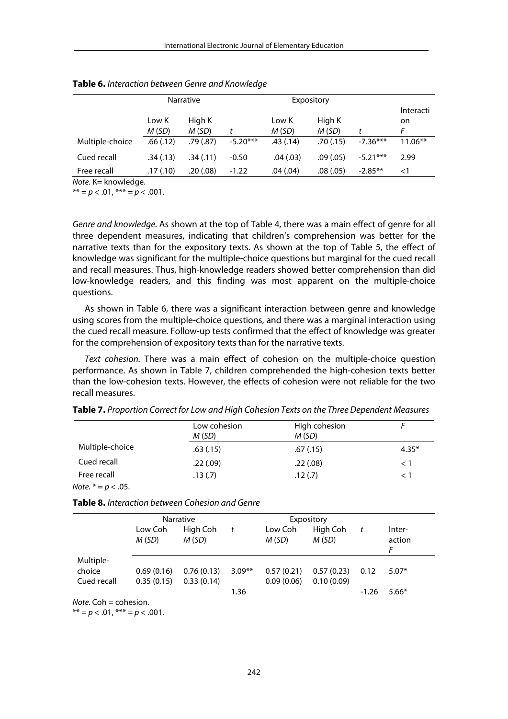|                 |                | <b>Narrative</b>     |            |                | Expository      |            |                      |
|-----------------|----------------|----------------------|------------|----------------|-----------------|------------|----------------------|
|                 | Low K<br>M(SD) | High K<br>M(SD)      |            | Low K<br>M(SD) | High K<br>M(SD) |            | Interacti<br>on<br>F |
| Multiple-choice | .66(.12)       | .79 <sub>(.87)</sub> | $-5.20***$ | .43(.14)       | .70(0.15)       | $-7.36***$ | $11.06**$            |
| Cued recall     | .34(.13)       | .34(.11)             | $-0.50$    | .04(.03)       | .09(0.05)       | $-5.21***$ | 2.99                 |
| Free recall     | .17(.10)       | .20(0.08)            | $-1.22$    | .04(0.04)      | .08(0.05)       | $-2.85**$  | $\leq$ 1             |

**Table 6.** *Interaction between Genre and Knowledge* 

*Note.* K= knowledge.

 $** = p < .01, ** * = p < .001.$ 

*Genre and knowledge.* As shown at the top of Table 4, there was a main effect of genre for all three dependent measures, indicating that children's comprehension was better for the narrative texts than for the expository texts. As shown at the top of Table 5, the effect of knowledge was significant for the multiple-choice questions but marginal for the cued recall and recall measures. Thus, high-knowledge readers showed better comprehension than did low-knowledge readers, and this finding was most apparent on the multiple-choice questions.

As shown in Table 6, there was a significant interaction between genre and knowledge using scores from the multiple-choice questions, and there was a marginal interaction using the cued recall measure. Follow-up tests confirmed that the effect of knowledge was greater for the comprehension of expository texts than for the narrative texts.

*Text cohesion.* There was a main effect of cohesion on the multiple-choice question performance. As shown in Table 7, children comprehended the high-cohesion texts better than the low-cohesion texts. However, the effects of cohesion were not reliable for the two recall measures.

|                                              | Low cohesion<br>M(SD) | High cohesion<br>M(SD) |         |
|----------------------------------------------|-----------------------|------------------------|---------|
| Multiple-choice                              | .63(.15)              | .67(0.15)              | $4.35*$ |
| Cued recall                                  | .22(.09)              | .22(.08)               | <1      |
| Free recall                                  | .13(.7)               | .12(.7)                | ⊂ 1     |
| $N_{\text{max}}$ $\frac{N}{2}$ $\frac{N}{2}$ |                       |                        |         |

**Table 7.** *Proportion Correct for Low and High Cohesion Texts on the Three Dependent Measures* 

*Note.* \* = *p* < .05.

| Table 8. Interaction between Cohesion and Genre |  |  |  |
|-------------------------------------------------|--|--|--|
|-------------------------------------------------|--|--|--|

|             | Low Coh    | <b>Narrative</b><br>High Coh | t        | Expository<br>High Coh<br>Low Coh |            |         | Inter-      |
|-------------|------------|------------------------------|----------|-----------------------------------|------------|---------|-------------|
|             | M(SD)      | M(SD)                        |          | M(SD)                             | M(SD)      | t       | action<br>F |
| Multiple-   |            |                              |          |                                   |            |         |             |
| choice      | 0.69(0.16) | 0.76(0.13)                   | $3.09**$ | 0.57(0.21)                        | 0.57(0.23) | 0.12    | $5.07*$     |
| Cued recall | 0.35(0.15) | 0.33(0.14)                   |          | 0.09(0.06)                        | 0.10(0.09) |         |             |
|             |            |                              | 1.36     |                                   |            | $-1.26$ | $5.66*$     |

*Note.* Coh = cohesion.

 $** = p < .01, ** * = p < .001.$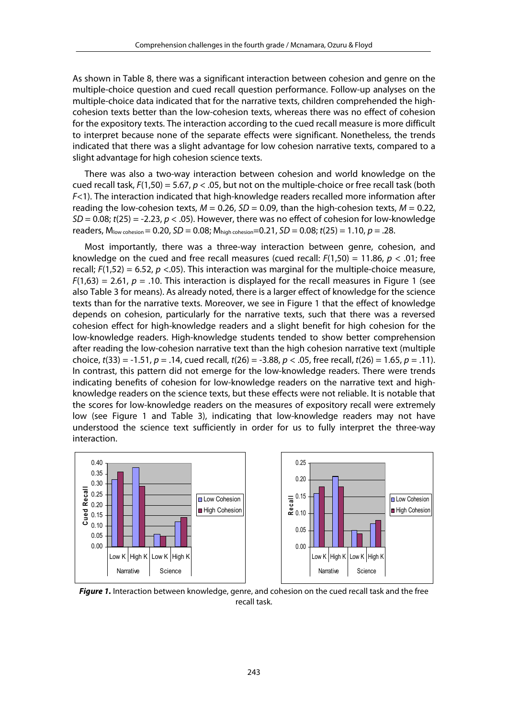As shown in Table 8, there was a significant interaction between cohesion and genre on the multiple-choice question and cued recall question performance. Follow-up analyses on the multiple-choice data indicated that for the narrative texts, children comprehended the highcohesion texts better than the low-cohesion texts, whereas there was no effect of cohesion for the expository texts. The interaction according to the cued recall measure is more difficult to interpret because none of the separate effects were significant. Nonetheless, the trends indicated that there was a slight advantage for low cohesion narrative texts, compared to a slight advantage for high cohesion science texts.

There was also a two-way interaction between cohesion and world knowledge on the cued recall task, *F*(1,50) = 5.67, *p* < .05, but not on the multiple-choice or free recall task (both *F*<1). The interaction indicated that high-knowledge readers recalled more information after reading the low-cohesion texts,  $M = 0.26$ ,  $SD = 0.09$ , than the high-cohesion texts,  $M = 0.22$ , *SD* = 0.08; *t*(25) = -2.23, *p* < .05). However, there was no effect of cohesion for low-knowledge readers,  $M_{\text{low cohesion}} = 0.20$ ,  $SD = 0.08$ ;  $M_{\text{high cohesion}} = 0.21$ ,  $SD = 0.08$ ;  $t(25) = 1.10$ ,  $p = .28$ .

Most importantly, there was a three-way interaction between genre, cohesion, and knowledge on the cued and free recall measures (cued recall: *F*(1,50) = 11.86, *p* < .01; free recall;  $F(1,52) = 6.52$ ,  $p < .05$ ). This interaction was marginal for the multiple-choice measure,  $F(1,63) = 2.61$ ,  $p = .10$ . This interaction is displayed for the recall measures in Figure 1 (see also Table 3 for means). As already noted, there is a larger effect of knowledge for the science texts than for the narrative texts. Moreover, we see in Figure 1 that the effect of knowledge depends on cohesion, particularly for the narrative texts, such that there was a reversed cohesion effect for high-knowledge readers and a slight benefit for high cohesion for the low-knowledge readers. High-knowledge students tended to show better comprehension after reading the low-cohesion narrative text than the high cohesion narrative text (multiple choice, *t*(33) = -1.51, *p* = .14, cued recall, *t*(26) = -3.88, *p* < .05, free recall, *t*(26) = 1.65, *p* = .11). In contrast, this pattern did not emerge for the low-knowledge readers. There were trends indicating benefits of cohesion for low-knowledge readers on the narrative text and highknowledge readers on the science texts, but these effects were not reliable. It is notable that the scores for low-knowledge readers on the measures of expository recall were extremely low (see Figure 1 and Table 3), indicating that low-knowledge readers may not have understood the science text sufficiently in order for us to fully interpret the three-way interaction.



**Figure 1.** Interaction between knowledge, genre, and cohesion on the cued recall task and the free recall task.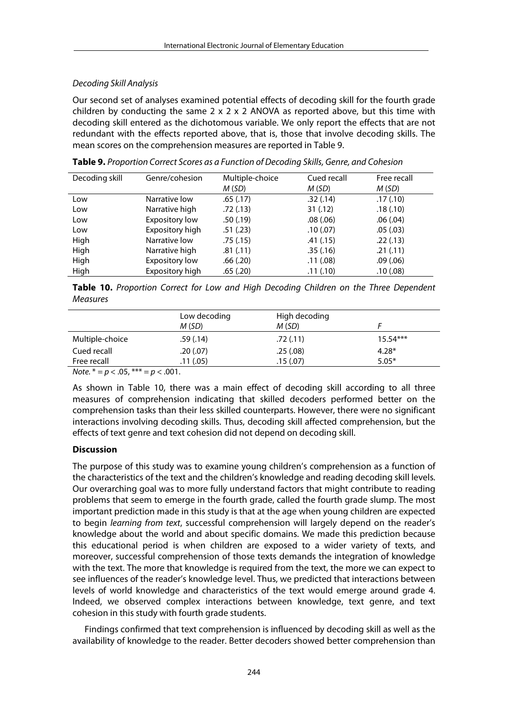# *Decoding Skill Analysis*

Our second set of analyses examined potential effects of decoding skill for the fourth grade children by conducting the same  $2 \times 2 \times 2$  ANOVA as reported above, but this time with decoding skill entered as the dichotomous variable. We only report the effects that are not redundant with the effects reported above, that is, those that involve decoding skills. The mean scores on the comprehension measures are reported in Table 9.

| Decoding skill | Genre/cohesion        | Multiple-choice | Cued recall | Free recall |
|----------------|-----------------------|-----------------|-------------|-------------|
|                |                       | M(SD)           | M(SD)       | M(SD)       |
| Low            | Narrative low         | .65(.17)        | .32(.14)    | .17(.10)    |
| Low            | Narrative high        | .72(.13)        | 31(.12)     | .18(.10)    |
| Low            | <b>Expository low</b> | .50(.19)        | .08(.06)    | .06(.04)    |
| Low            | Expository high       | .51(.23)        | .10(0.07)   | .05(.03)    |
| High           | Narrative low         | .75(.15)        | .41(.15)    | .22(.13)    |
| High           | Narrative high        | .81(.11)        | .35(.16)    | .21(.11)    |
| High           | <b>Expository low</b> | .66(.20)        | .11(.08)    | .09(.06)    |
| High           | Expository high       | .65(.20)        | .11(.10)    | .10(0.08)   |

**Table 9.** *Proportion Correct Scores as a Function of Decoding Skills, Genre, and Cohesion* 

**Table 10.** *Proportion Correct for Low and High Decoding Children on the Three Dependent Measures*

|                                                                                                                                                                                                                                                                                                                                    | Low decoding<br>M(SD) | High decoding<br>M(SD) |            |  |
|------------------------------------------------------------------------------------------------------------------------------------------------------------------------------------------------------------------------------------------------------------------------------------------------------------------------------------|-----------------------|------------------------|------------|--|
| Multiple-choice                                                                                                                                                                                                                                                                                                                    | .59(.14)              | .72(.11)               | $15.54***$ |  |
| Cued recall                                                                                                                                                                                                                                                                                                                        | .20(.07)              | .25(.08)               | $4.28*$    |  |
| Free recall                                                                                                                                                                                                                                                                                                                        | .11(.05)              | .15(.07)               | $5.05*$    |  |
| $\mathbf{A}$ $\mathbf{A}$ $\mathbf{A}$ $\mathbf{A}$ $\mathbf{A}$ $\mathbf{A}$ $\mathbf{A}$ $\mathbf{A}$ $\mathbf{A}$ $\mathbf{A}$ $\mathbf{A}$ $\mathbf{A}$ $\mathbf{A}$ $\mathbf{A}$ $\mathbf{A}$ $\mathbf{A}$ $\mathbf{A}$ $\mathbf{A}$ $\mathbf{A}$ $\mathbf{A}$ $\mathbf{A}$ $\mathbf{A}$ $\mathbf{A}$ $\mathbf{A}$ $\mathbf{$ | $\sim$ 0.00           |                        |            |  |

*Note.*  $* = p < .05$ ,  $** = p < .001$ .

As shown in Table 10, there was a main effect of decoding skill according to all three measures of comprehension indicating that skilled decoders performed better on the comprehension tasks than their less skilled counterparts. However, there were no significant interactions involving decoding skills. Thus, decoding skill affected comprehension, but the effects of text genre and text cohesion did not depend on decoding skill.

# **Discussion**

The purpose of this study was to examine young children's comprehension as a function of the characteristics of the text and the children's knowledge and reading decoding skill levels. Our overarching goal was to more fully understand factors that might contribute to reading problems that seem to emerge in the fourth grade, called the fourth grade slump. The most important prediction made in this study is that at the age when young children are expected to begin *learning from text*, successful comprehension will largely depend on the reader's knowledge about the world and about specific domains. We made this prediction because this educational period is when children are exposed to a wider variety of texts, and moreover, successful comprehension of those texts demands the integration of knowledge with the text. The more that knowledge is required from the text, the more we can expect to see influences of the reader's knowledge level. Thus, we predicted that interactions between levels of world knowledge and characteristics of the text would emerge around grade 4. Indeed, we observed complex interactions between knowledge, text genre, and text cohesion in this study with fourth grade students.

Findings confirmed that text comprehension is influenced by decoding skill as well as the availability of knowledge to the reader. Better decoders showed better comprehension than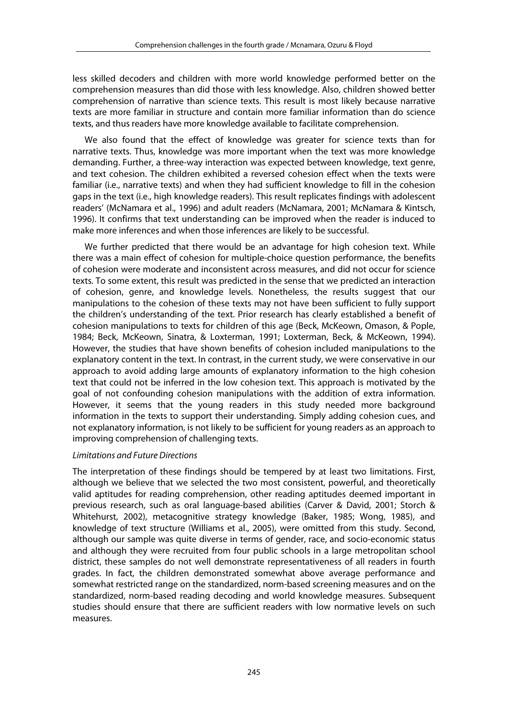less skilled decoders and children with more world knowledge performed better on the comprehension measures than did those with less knowledge. Also, children showed better comprehension of narrative than science texts. This result is most likely because narrative texts are more familiar in structure and contain more familiar information than do science texts, and thus readers have more knowledge available to facilitate comprehension.

We also found that the effect of knowledge was greater for science texts than for narrative texts. Thus, knowledge was more important when the text was more knowledge demanding. Further, a three-way interaction was expected between knowledge, text genre, and text cohesion. The children exhibited a reversed cohesion effect when the texts were familiar (i.e., narrative texts) and when they had sufficient knowledge to fill in the cohesion gaps in the text (i.e., high knowledge readers). This result replicates findings with adolescent readers' (McNamara et al., 1996) and adult readers (McNamara, 2001; McNamara & Kintsch, 1996). It confirms that text understanding can be improved when the reader is induced to make more inferences and when those inferences are likely to be successful.

We further predicted that there would be an advantage for high cohesion text. While there was a main effect of cohesion for multiple-choice question performance, the benefits of cohesion were moderate and inconsistent across measures, and did not occur for science texts. To some extent, this result was predicted in the sense that we predicted an interaction of cohesion, genre, and knowledge levels. Nonetheless, the results suggest that our manipulations to the cohesion of these texts may not have been sufficient to fully support the children's understanding of the text. Prior research has clearly established a benefit of cohesion manipulations to texts for children of this age (Beck, McKeown, Omason, & Pople, 1984; Beck, McKeown, Sinatra, & Loxterman, 1991; Loxterman, Beck, & McKeown, 1994). However, the studies that have shown benefits of cohesion included manipulations to the explanatory content in the text. In contrast, in the current study, we were conservative in our approach to avoid adding large amounts of explanatory information to the high cohesion text that could not be inferred in the low cohesion text. This approach is motivated by the goal of not confounding cohesion manipulations with the addition of extra information. However, it seems that the young readers in this study needed more background information in the texts to support their understanding. Simply adding cohesion cues, and not explanatory information, is not likely to be sufficient for young readers as an approach to improving comprehension of challenging texts.

# *Limitations and Future Directions*

The interpretation of these findings should be tempered by at least two limitations. First, although we believe that we selected the two most consistent, powerful, and theoretically valid aptitudes for reading comprehension, other reading aptitudes deemed important in previous research, such as oral language-based abilities (Carver & David, 2001; Storch & Whitehurst, 2002), metacognitive strategy knowledge (Baker, 1985; Wong, 1985), and knowledge of text structure (Williams et al., 2005), were omitted from this study. Second, although our sample was quite diverse in terms of gender, race, and socio-economic status and although they were recruited from four public schools in a large metropolitan school district, these samples do not well demonstrate representativeness of all readers in fourth grades. In fact, the children demonstrated somewhat above average performance and somewhat restricted range on the standardized, norm-based screening measures and on the standardized, norm-based reading decoding and world knowledge measures. Subsequent studies should ensure that there are sufficient readers with low normative levels on such measures.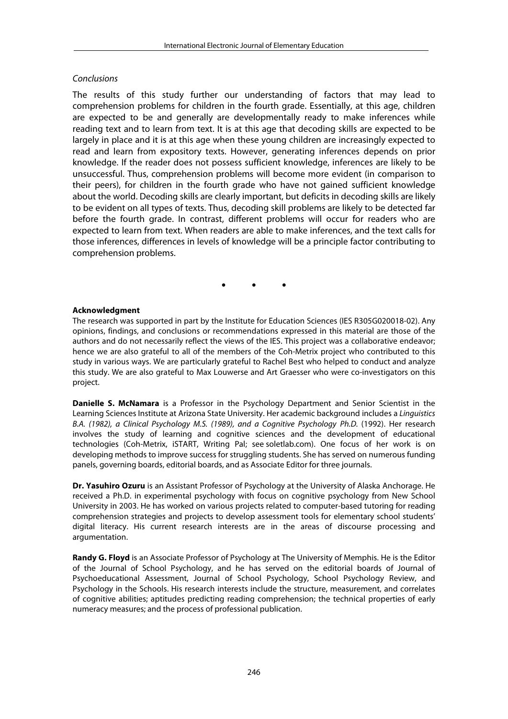# *Conclusions*

The results of this study further our understanding of factors that may lead to comprehension problems for children in the fourth grade. Essentially, at this age, children are expected to be and generally are developmentally ready to make inferences while reading text and to learn from text. It is at this age that decoding skills are expected to be largely in place and it is at this age when these young children are increasingly expected to read and learn from expository texts. However, generating inferences depends on prior knowledge. If the reader does not possess sufficient knowledge, inferences are likely to be unsuccessful. Thus, comprehension problems will become more evident (in comparison to their peers), for children in the fourth grade who have not gained sufficient knowledge about the world. Decoding skills are clearly important, but deficits in decoding skills are likely to be evident on all types of texts. Thus, decoding skill problems are likely to be detected far before the fourth grade. In contrast, different problems will occur for readers who are expected to learn from text. When readers are able to make inferences, and the text calls for those inferences, differences in levels of knowledge will be a principle factor contributing to comprehension problems.

• • •

## **Acknowledgment**

The research was supported in part by the Institute for Education Sciences (IES R305G020018-02). Any opinions, findings, and conclusions or recommendations expressed in this material are those of the authors and do not necessarily reflect the views of the IES. This project was a collaborative endeavor; hence we are also grateful to all of the members of the Coh-Metrix project who contributed to this study in various ways. We are particularly grateful to Rachel Best who helped to conduct and analyze this study. We are also grateful to Max Louwerse and Art Graesser who were co-investigators on this project.

**Danielle S. McNamara** is a Professor in the Psychology Department and Senior Scientist in the Learning Sciences Institute at Arizona State University. Her academic background includes a *Linguistics B.A. (1982), a Clinical Psychology M.S. (1989), and a Cognitive Psychology Ph.D.* (1992). Her research involves the study of learning and cognitive sciences and the development of educational technologies (Coh-Metrix, iSTART, Writing Pal; see soletlab.com). One focus of her work is on developing methods to improve success for struggling students. She has served on numerous funding panels, governing boards, editorial boards, and as Associate Editor for three journals.

**Dr. Yasuhiro Ozuru** is an Assistant Professor of Psychology at the University of Alaska Anchorage. He received a Ph.D. in experimental psychology with focus on cognitive psychology from New School University in 2003. He has worked on various projects related to computer-based tutoring for reading comprehension strategies and projects to develop assessment tools for elementary school students' digital literacy. His current research interests are in the areas of discourse processing and argumentation.

**Randy G. Floyd** is an Associate Professor of Psychology at The University of Memphis. He is the Editor of the Journal of School Psychology, and he has served on the editorial boards of Journal of Psychoeducational Assessment, Journal of School Psychology, School Psychology Review, and Psychology in the Schools. His research interests include the structure, measurement, and correlates of cognitive abilities; aptitudes predicting reading comprehension; the technical properties of early numeracy measures; and the process of professional publication.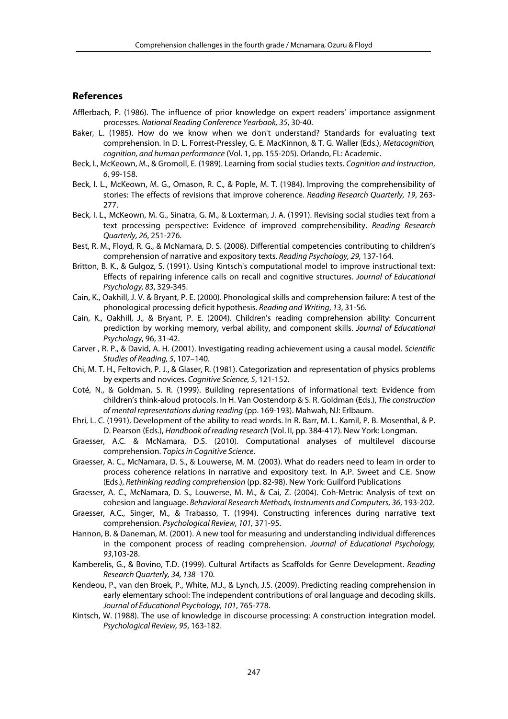#### **References**

- Afflerbach, P. (1986). The influence of prior knowledge on expert readers' importance assignment processes. *National Reading Conference Yearbook, 35*, 30-40.
- Baker, L. (1985). How do we know when we don't understand? Standards for evaluating text comprehension. In D. L. Forrest-Pressley, G. E. MacKinnon, & T. G. Waller (Eds.), *Metacognition, cognition, and human performance* (Vol. 1, pp. 155-205). Orlando, FL: Academic.
- Beck, I., McKeown, M., & Gromoll, E. (1989). Learning from social studies texts. *Cognition and Instruction*, *6*, 99-158.
- Beck, I. L., McKeown, M. G., Omason, R. C., & Pople, M. T. (1984). Improving the comprehensibility of stories: The effects of revisions that improve coherence. *Reading Research Quarterly, 19*, 263- 277.
- Beck, I. L., McKeown, M. G., Sinatra, G. M., & Loxterman, J. A. (1991). Revising social studies text from a text processing perspective: Evidence of improved comprehensibility. *Reading Research Quarterly, 26*, 251-276.
- Best, R. M., Floyd, R. G., & McNamara, D. S. (2008). Differential competencies contributing to children's comprehension of narrative and expository texts. *Reading Psychology, 29,* 137-164.
- Britton, B. K., & Gulgoz, S. (1991). Using Kintsch's computational model to improve instructional text: Effects of repairing inference calls on recall and cognitive structures. *Journal of Educational Psychology, 83*, 329-345.
- Cain, K., Oakhill, J. V. & Bryant, P. E. (2000). Phonological skills and comprehension failure: A test of the phonological processing deficit hypothesis. *Reading and Writing*, *13*, 31-56*.*
- Cain, K., Oakhill, J., & Bryant, P. E. (2004). Children's reading comprehension ability: Concurrent prediction by working memory, verbal ability, and component skills. *Journal of Educational Psychology*, 96, 31-42.
- Carver , R. P., & David, A. H. (2001). Investigating reading achievement using a causal model. *Scientific Studies of Reading, 5*, 107–140.
- Chi, M. T. H., Feltovich, P. J., & Glaser, R. (1981). Categorization and representation of physics problems by experts and novices. *Cognitive Science, 5*, 121-152.
- Coté, N., & Goldman, S. R. (1999). Building representations of informational text: Evidence from children's think-aloud protocols. In H. Van Oostendorp & S. R. Goldman (Eds.), *The construction of mental representations during reading* (pp. 169-193). Mahwah, NJ: Erlbaum.
- Ehri, L. C. (1991). Development of the ability to read words. In R. Barr, M. L. Kamil, P. B. Mosenthal, & P. D. Pearson (Eds.), *Handbook of reading research* (Vol. II, pp. 384-417). New York: Longman.
- Graesser, A.C. & McNamara, D.S. (2010). Computational analyses of multilevel discourse comprehension. *Topics in Cognitive Science*.
- Graesser, A. C., McNamara, D. S., & Louwerse, M. M. (2003). What do readers need to learn in order to process coherence relations in narrative and expository text. In A.P. Sweet and C.E. Snow (Eds.), *Rethinking reading comprehension* (pp. 82-98). New York: Guilford Publications
- Graesser, A. C., McNamara, D. S., Louwerse, M. M., & Cai, Z. (2004). Coh-Metrix: Analysis of text on cohesion and language. *Behavioral Research Methods, Instruments and Computers*, *36*, 193-202.
- Graesser, A.C., Singer, M., & Trabasso, T. (1994). Constructing inferences during narrative text comprehension. *Psychological Review, 101,* 371-95.
- Hannon, B. & Daneman, M. (2001). A new tool for measuring and understanding individual differences in the component process of reading comprehension. *Journal of Educational Psychology, 93*,103-28.
- Kamberelis, G., & Bovino, T.D. (1999). Cultural Artifacts as Scaffolds for Genre Development. *Reading Research Quarterly, 34, 138*–170.
- Kendeou, P., van den Broek, P., White, M.J., & Lynch, J.S. (2009). Predicting reading comprehension in early elementary school: The independent contributions of oral language and decoding skills. *Journal of Educational Psychology, 101*, 765-778.
- Kintsch, W. (1988). The use of knowledge in discourse processing: A construction integration model. *Psychological Review, 95*, 163-182.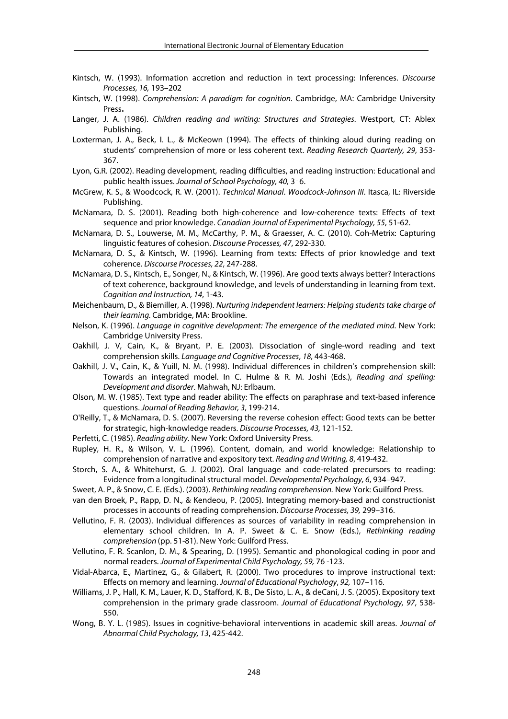- Kintsch, W. (1993). Information accretion and reduction in text processing: Inferences. *Discourse Processes, 16,* 193–202
- Kintsch, W. (1998). *Comprehension: A paradigm for cognition*. Cambridge, MA: Cambridge University Press**.**
- Langer, J. A. (1986). *Children reading and writing: Structures and Strategies*. Westport, CT: Ablex Publishing.
- Loxterman, J. A., Beck, I. L., & McKeown (1994). The effects of thinking aloud during reading on students' comprehension of more or less coherent text. *Reading Research Quarterly, 29*, 353- 367.
- Lyon, G.R. (2002). Reading development, reading difficulties, and reading instruction: Educational and public health issues. *Journal of School Psychology, 40,* 3‑6.
- McGrew, K. S., & Woodcock, R. W. (2001). *Technical Manual*. *Woodcock-Johnson III*. Itasca, IL: Riverside Publishing.
- McNamara, D. S. (2001). Reading both high-coherence and low-coherence texts: Effects of text sequence and prior knowledge. *Canadian Journal of Experimental Psychology, 55*, 51-62.
- McNamara, D. S., Louwerse, M. M., McCarthy, P. M., & Graesser, A. C. (2010). Coh-Metrix: Capturing linguistic features of cohesion. *Discourse Processes, 47*, 292-330.
- McNamara, D. S., & Kintsch, W. (1996). Learning from texts: Effects of prior knowledge and text coherence. *Discourse Processes, 22*, 247-288.
- McNamara, D. S., Kintsch, E., Songer, N., & Kintsch, W. (1996). Are good texts always better? Interactions of text coherence, background knowledge, and levels of understanding in learning from text. *Cognition and Instruction, 14*, 1-43.
- Meichenbaum, D., & Biemiller, A. (1998). *Nurturing independent learners: Helping students take charge of their learning.* Cambridge, MA: Brookline.
- Nelson, K. (1996). *Language in cognitive development: The emergence of the mediated mind.* New York: Cambridge University Press.
- Oakhill, J. V, Cain, K., & Bryant, P. E. (2003). Dissociation of single-word reading and text comprehension skills. *Language and Cognitive Processes*, *18,* 443-468.
- Oakhill, J. V., Cain, K., & Yuill, N. M. (1998). Individual differences in children's comprehension skill: Towards an integrated model. In C. Hulme & R. M. Joshi (Eds.), *Reading and spelling: Development and disorder*. Mahwah, NJ: Erlbaum.
- Olson, M. W. (1985). Text type and reader ability: The effects on paraphrase and text-based inference questions. *Journal of Reading Behavior, 3*, 199-214.
- O'Reilly, T., & McNamara, D. S. (2007). Reversing the reverse cohesion effect: Good texts can be better for strategic, high-knowledge readers. *Discourse Processes, 43,* 121-152.
- Perfetti, C. (1985). *Reading ability*. New York: Oxford University Press.
- Rupley, H. R., & Wilson, V. L. (1996). Content, domain, and world knowledge: Relationship to comprehension of narrative and expository text. *Reading and Writing, 8*, 419-432.
- Storch, S. A., & Whitehurst, G. J. (2002). Oral language and code-related precursors to reading: Evidence from a longitudinal structural model. *Developmental Psychology, 6*, 934–947.
- Sweet, A. P., & Snow, C. E. (Eds.). (2003). *Rethinking reading comprehension.* New York: Guilford Press.
- van den Broek, P., Rapp, D. N., & Kendeou, P. (2005). Integrating memory-based and constructionist processes in accounts of reading comprehension. *Discourse Processes, 39,* 299–316.
- Vellutino, F. R. (2003). Individual differences as sources of variability in reading comprehension in elementary school children. In A. P. Sweet & C. E. Snow (Eds.), *Rethinking reading comprehension* (pp. 51-81). New York: Guilford Press.
- Vellutino, F. R. Scanlon, D. M., & Spearing, D. (1995). Semantic and phonological coding in poor and normal readers. *Journal of Experimental Child Psychology, 59,* 76 -123.
- Vidal-Abarca, E., Martinez, G., & Gilabert, R. (2000). Two procedures to improve instructional text: Effects on memory and learning. *Journal of Educational Psychology*, *92,* 107–116.
- Williams, J. P., Hall, K. M., Lauer, K. D., Stafford, K. B., De Sisto, L. A., & deCani, J. S. (2005). Expository text comprehension in the primary grade classroom. *Journal of Educational Psychology, 97*, 538- 550.
- Wong, B. Y. L. (1985). Issues in cognitive-behavioral interventions in academic skill areas. *Journal of Abnormal Child Psychology, 13*, 425-442.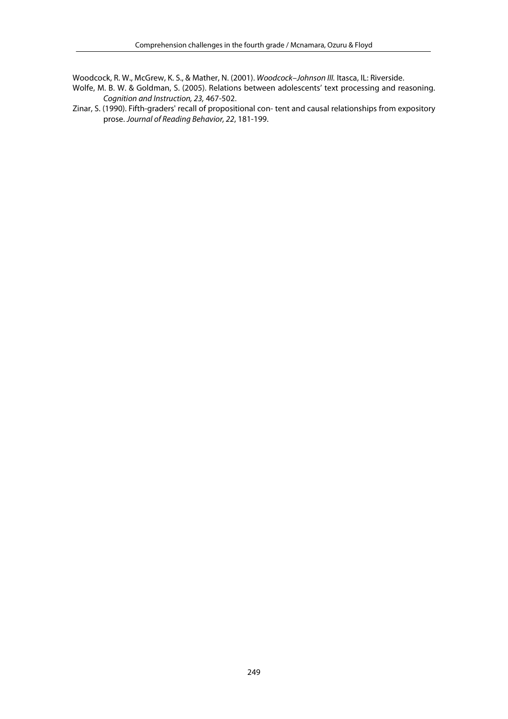Woodcock, R. W., McGrew, K. S., & Mather, N. (2001). *Woodcock–Johnson III.* Itasca, IL: Riverside.

- Wolfe, M. B. W. & Goldman, S. (2005). Relations between adolescents' text processing and reasoning. *Cognition and Instruction, 23,* 467-502.
- Zinar, S. (1990). Fifth-graders' recall of propositional con- tent and causal relationships from expository prose. *Journal of Reading Behavior, 22*, 181-199.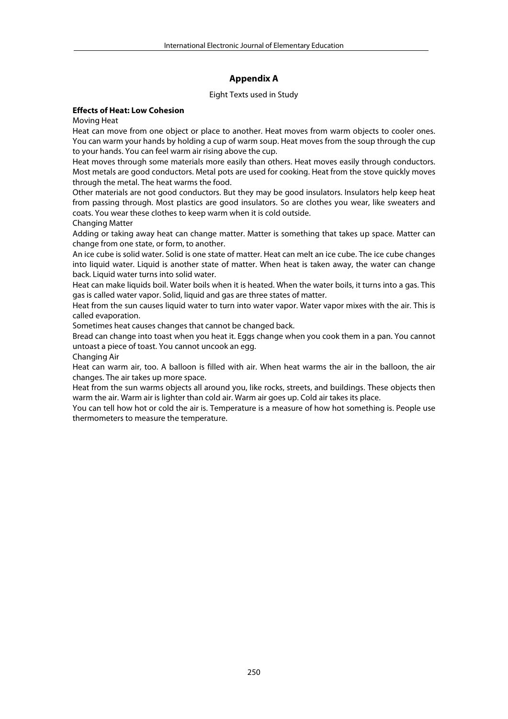# **Appendix A**

#### Eight Texts used in Study

#### **Effects of Heat: Low Cohesion**

Moving Heat

Heat can move from one object or place to another. Heat moves from warm objects to cooler ones. You can warm your hands by holding a cup of warm soup. Heat moves from the soup through the cup to your hands. You can feel warm air rising above the cup.

Heat moves through some materials more easily than others. Heat moves easily through conductors. Most metals are good conductors. Metal pots are used for cooking. Heat from the stove quickly moves through the metal. The heat warms the food.

Other materials are not good conductors. But they may be good insulators. Insulators help keep heat from passing through. Most plastics are good insulators. So are clothes you wear, like sweaters and coats. You wear these clothes to keep warm when it is cold outside.

Changing Matter

Adding or taking away heat can change matter. Matter is something that takes up space. Matter can change from one state, or form, to another.

An ice cube is solid water. Solid is one state of matter. Heat can melt an ice cube. The ice cube changes into liquid water. Liquid is another state of matter. When heat is taken away, the water can change back. Liquid water turns into solid water.

Heat can make liquids boil. Water boils when it is heated. When the water boils, it turns into a gas. This gas is called water vapor. Solid, liquid and gas are three states of matter.

Heat from the sun causes liquid water to turn into water vapor. Water vapor mixes with the air. This is called evaporation.

Sometimes heat causes changes that cannot be changed back.

Bread can change into toast when you heat it. Eggs change when you cook them in a pan. You cannot untoast a piece of toast. You cannot uncook an egg.

Changing Air

Heat can warm air, too. A balloon is filled with air. When heat warms the air in the balloon, the air changes. The air takes up more space.

Heat from the sun warms objects all around you, like rocks, streets, and buildings. These objects then warm the air. Warm air is lighter than cold air. Warm air goes up. Cold air takes its place.

You can tell how hot or cold the air is. Temperature is a measure of how hot something is. People use thermometers to measure the temperature.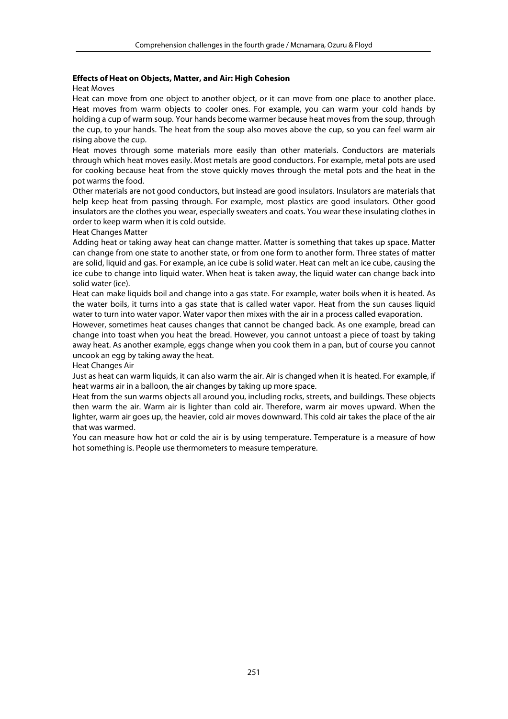#### **Effects of Heat on Objects, Matter, and Air: High Cohesion**

Heat Moves

Heat can move from one object to another object, or it can move from one place to another place. Heat moves from warm objects to cooler ones. For example, you can warm your cold hands by holding a cup of warm soup. Your hands become warmer because heat moves from the soup, through the cup, to your hands. The heat from the soup also moves above the cup, so you can feel warm air rising above the cup.

Heat moves through some materials more easily than other materials. Conductors are materials through which heat moves easily. Most metals are good conductors. For example, metal pots are used for cooking because heat from the stove quickly moves through the metal pots and the heat in the pot warms the food.

Other materials are not good conductors, but instead are good insulators. Insulators are materials that help keep heat from passing through. For example, most plastics are good insulators. Other good insulators are the clothes you wear, especially sweaters and coats. You wear these insulating clothes in order to keep warm when it is cold outside.

Heat Changes Matter

Adding heat or taking away heat can change matter. Matter is something that takes up space. Matter can change from one state to another state, or from one form to another form. Three states of matter are solid, liquid and gas. For example, an ice cube is solid water. Heat can melt an ice cube, causing the ice cube to change into liquid water. When heat is taken away, the liquid water can change back into solid water (ice).

Heat can make liquids boil and change into a gas state. For example, water boils when it is heated. As the water boils, it turns into a gas state that is called water vapor. Heat from the sun causes liquid water to turn into water vapor. Water vapor then mixes with the air in a process called evaporation.

However, sometimes heat causes changes that cannot be changed back. As one example, bread can change into toast when you heat the bread. However, you cannot untoast a piece of toast by taking away heat. As another example, eggs change when you cook them in a pan, but of course you cannot uncook an egg by taking away the heat.

Heat Changes Air

Just as heat can warm liquids, it can also warm the air. Air is changed when it is heated. For example, if heat warms air in a balloon, the air changes by taking up more space.

Heat from the sun warms objects all around you, including rocks, streets, and buildings. These objects then warm the air. Warm air is lighter than cold air. Therefore, warm air moves upward. When the lighter, warm air goes up, the heavier, cold air moves downward. This cold air takes the place of the air that was warmed.

You can measure how hot or cold the air is by using temperature. Temperature is a measure of how hot something is. People use thermometers to measure temperature.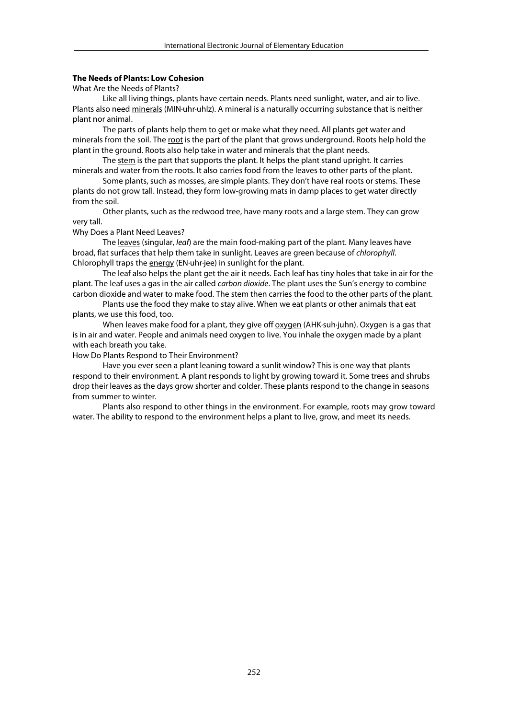#### **The Needs of Plants: Low Cohesion**

What Are the Needs of Plants?

 Like all living things, plants have certain needs. Plants need sunlight, water, and air to live. Plants also need minerals (MIN·uhr·uhlz). A mineral is a naturally occurring substance that is neither plant nor animal.

 The parts of plants help them to get or make what they need. All plants get water and minerals from the soil. The root is the part of the plant that grows underground. Roots help hold the plant in the ground. Roots also help take in water and minerals that the plant needs.

 The stem is the part that supports the plant. It helps the plant stand upright. It carries minerals and water from the roots. It also carries food from the leaves to other parts of the plant.

 Some plants, such as mosses, are simple plants. They don't have real roots or stems. These plants do not grow tall. Instead, they form low-growing mats in damp places to get water directly from the soil.

 Other plants, such as the redwood tree, have many roots and a large stem. They can grow very tall.

Why Does a Plant Need Leaves?

 The leaves (singular, *leaf*) are the main food-making part of the plant. Many leaves have broad, flat surfaces that help them take in sunlight. Leaves are green because of *chlorophyll*. Chlorophyll traps the energy (EN·uhr·jee) in sunlight for the plant.

 The leaf also helps the plant get the air it needs. Each leaf has tiny holes that take in air for the plant. The leaf uses a gas in the air called *carbon dioxide*. The plant uses the Sun's energy to combine carbon dioxide and water to make food. The stem then carries the food to the other parts of the plant.

 Plants use the food they make to stay alive. When we eat plants or other animals that eat plants, we use this food, too.

 When leaves make food for a plant, they give off oxygen (AHK·suh·juhn). Oxygen is a gas that is in air and water. People and animals need oxygen to live. You inhale the oxygen made by a plant with each breath you take.

How Do Plants Respond to Their Environment?

 Have you ever seen a plant leaning toward a sunlit window? This is one way that plants respond to their environment. A plant responds to light by growing toward it. Some trees and shrubs drop their leaves as the days grow shorter and colder. These plants respond to the change in seasons from summer to winter.

 Plants also respond to other things in the environment. For example, roots may grow toward water. The ability to respond to the environment helps a plant to live, grow, and meet its needs.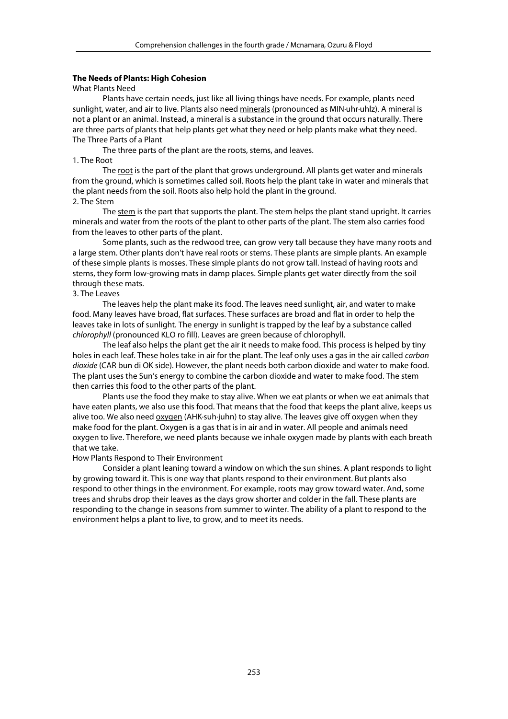#### **The Needs of Plants: High Cohesion**

#### What Plants Need

 Plants have certain needs, just like all living things have needs. For example, plants need sunlight, water, and air to live. Plants also need minerals (pronounced as MIN·uhr·uhlz). A mineral is not a plant or an animal. Instead, a mineral is a substance in the ground that occurs naturally. There are three parts of plants that help plants get what they need or help plants make what they need. The Three Parts of a Plant

The three parts of the plant are the roots, stems, and leaves.

#### 1. The Root

The root is the part of the plant that grows underground. All plants get water and minerals from the ground, which is sometimes called soil. Roots help the plant take in water and minerals that the plant needs from the soil. Roots also help hold the plant in the ground. 2. The Stem

 The stem is the part that supports the plant. The stem helps the plant stand upright. It carries minerals and water from the roots of the plant to other parts of the plant. The stem also carries food from the leaves to other parts of the plant.

 Some plants, such as the redwood tree, can grow very tall because they have many roots and a large stem. Other plants don't have real roots or stems. These plants are simple plants. An example of these simple plants is mosses. These simple plants do not grow tall. Instead of having roots and stems, they form low-growing mats in damp places. Simple plants get water directly from the soil through these mats.

## 3. The Leaves

The leaves help the plant make its food. The leaves need sunlight, air, and water to make food. Many leaves have broad, flat surfaces. These surfaces are broad and flat in order to help the leaves take in lots of sunlight. The energy in sunlight is trapped by the leaf by a substance called *chlorophyll* (pronounced KLO ro fill). Leaves are green because of chlorophyll.

 The leaf also helps the plant get the air it needs to make food. This process is helped by tiny holes in each leaf. These holes take in air for the plant. The leaf only uses a gas in the air called *carbon dioxide* (CAR bun di OK side). However, the plant needs both carbon dioxide and water to make food. The plant uses the Sun's energy to combine the carbon dioxide and water to make food. The stem then carries this food to the other parts of the plant.

 Plants use the food they make to stay alive. When we eat plants or when we eat animals that have eaten plants, we also use this food. That means that the food that keeps the plant alive, keeps us alive too. We also need oxygen (AHK·suh·juhn) to stay alive. The leaves give off oxygen when they make food for the plant. Oxygen is a gas that is in air and in water. All people and animals need oxygen to live. Therefore, we need plants because we inhale oxygen made by plants with each breath that we take.

#### How Plants Respond to Their Environment

 Consider a plant leaning toward a window on which the sun shines. A plant responds to light by growing toward it. This is one way that plants respond to their environment. But plants also respond to other things in the environment. For example, roots may grow toward water. And, some trees and shrubs drop their leaves as the days grow shorter and colder in the fall. These plants are responding to the change in seasons from summer to winter. The ability of a plant to respond to the environment helps a plant to live, to grow, and to meet its needs.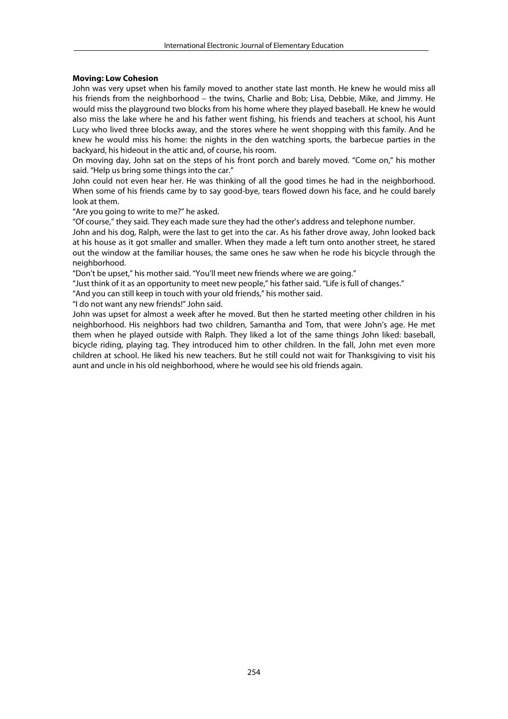#### **Moving: Low Cohesion**

John was very upset when his family moved to another state last month. He knew he would miss all his friends from the neighborhood – the twins, Charlie and Bob; Lisa, Debbie, Mike, and Jimmy. He would miss the playground two blocks from his home where they played baseball. He knew he would also miss the lake where he and his father went fishing, his friends and teachers at school, his Aunt Lucy who lived three blocks away, and the stores where he went shopping with this family. And he knew he would miss his home: the nights in the den watching sports, the barbecue parties in the backyard, his hideout in the attic and, of course, his room.

On moving day, John sat on the steps of his front porch and barely moved. "Come on," his mother said. "Help us bring some things into the car."

John could not even hear her. He was thinking of all the good times he had in the neighborhood. When some of his friends came by to say good-bye, tears flowed down his face, and he could barely look at them.

"Are you going to write to me?" he asked.

"Of course," they said. They each made sure they had the other's address and telephone number.

John and his dog, Ralph, were the last to get into the car. As his father drove away, John looked back at his house as it got smaller and smaller. When they made a left turn onto another street, he stared out the window at the familiar houses, the same ones he saw when he rode his bicycle through the neighborhood.

"Don't be upset," his mother said. "You'll meet new friends where we are going."

"Just think of it as an opportunity to meet new people," his father said. "Life is full of changes."

"And you can still keep in touch with your old friends," his mother said.

"I do not want any new friends!" John said.

John was upset for almost a week after he moved. But then he started meeting other children in his neighborhood. His neighbors had two children, Samantha and Tom, that were John's age. He met them when he played outside with Ralph. They liked a lot of the same things John liked: baseball, bicycle riding, playing tag. They introduced him to other children. In the fall, John met even more children at school. He liked his new teachers. But he still could not wait for Thanksgiving to visit his aunt and uncle in his old neighborhood, where he would see his old friends again.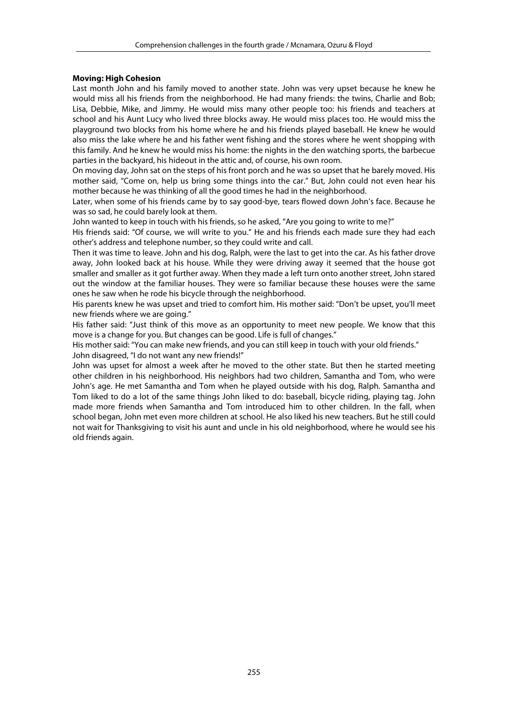#### **Moving: High Cohesion**

Last month John and his family moved to another state. John was very upset because he knew he would miss all his friends from the neighborhood. He had many friends: the twins, Charlie and Bob; Lisa, Debbie, Mike, and Jimmy. He would miss many other people too: his friends and teachers at school and his Aunt Lucy who lived three blocks away. He would miss places too. He would miss the playground two blocks from his home where he and his friends played baseball. He knew he would also miss the lake where he and his father went fishing and the stores where he went shopping with this family. And he knew he would miss his home: the nights in the den watching sports, the barbecue parties in the backyard, his hideout in the attic and, of course, his own room.

On moving day, John sat on the steps of his front porch and he was so upset that he barely moved. His mother said, "Come on, help us bring some things into the car." But, John could not even hear his mother because he was thinking of all the good times he had in the neighborhood.

Later, when some of his friends came by to say good-bye, tears flowed down John's face. Because he was so sad, he could barely look at them.

John wanted to keep in touch with his friends, so he asked, "Are you going to write to me?"

His friends said: "Of course, we will write to you." He and his friends each made sure they had each other's address and telephone number, so they could write and call.

Then it was time to leave. John and his dog, Ralph, were the last to get into the car. As his father drove away, John looked back at his house. While they were driving away it seemed that the house got smaller and smaller as it got further away. When they made a left turn onto another street, John stared out the window at the familiar houses. They were so familiar because these houses were the same ones he saw when he rode his bicycle through the neighborhood.

His parents knew he was upset and tried to comfort him. His mother said: "Don't be upset, you'll meet new friends where we are going."

His father said: "Just think of this move as an opportunity to meet new people. We know that this move is a change for you. But changes can be good. Life is full of changes."

His mother said: "You can make new friends, and you can still keep in touch with your old friends." John disagreed, "I do not want any new friends!"

John was upset for almost a week after he moved to the other state. But then he started meeting other children in his neighborhood. His neighbors had two children, Samantha and Tom, who were John's age. He met Samantha and Tom when he played outside with his dog, Ralph. Samantha and Tom liked to do a lot of the same things John liked to do: baseball, bicycle riding, playing tag. John made more friends when Samantha and Tom introduced him to other children. In the fall, when school began, John met even more children at school. He also liked his new teachers. But he still could not wait for Thanksgiving to visit his aunt and uncle in his old neighborhood, where he would see his old friends again.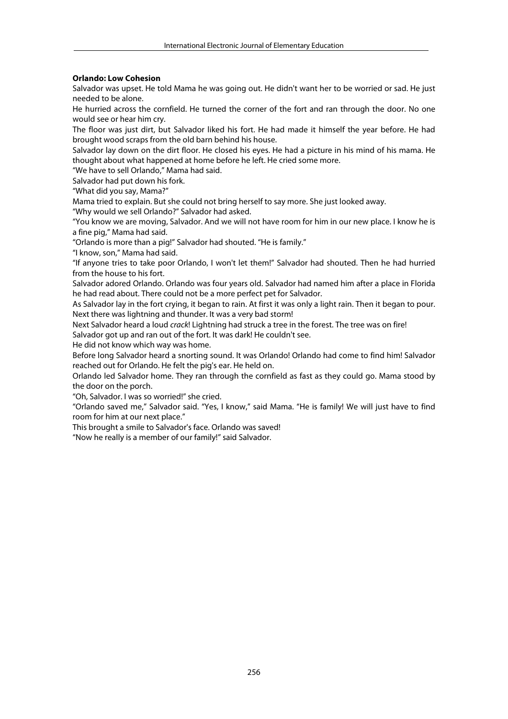#### **Orlando: Low Cohesion**

Salvador was upset. He told Mama he was going out. He didn't want her to be worried or sad. He just needed to be alone.

He hurried across the cornfield. He turned the corner of the fort and ran through the door. No one would see or hear him cry.

The floor was just dirt, but Salvador liked his fort. He had made it himself the year before. He had brought wood scraps from the old barn behind his house.

Salvador lay down on the dirt floor. He closed his eyes. He had a picture in his mind of his mama. He thought about what happened at home before he left. He cried some more.

"We have to sell Orlando," Mama had said.

Salvador had put down his fork.

"What did you say, Mama?"

Mama tried to explain. But she could not bring herself to say more. She just looked away.

"Why would we sell Orlando?" Salvador had asked.

"You know we are moving, Salvador. And we will not have room for him in our new place. I know he is a fine pig," Mama had said.

"Orlando is more than a pig!" Salvador had shouted. "He is family."

"I know, son," Mama had said.

"If anyone tries to take poor Orlando, I won't let them!" Salvador had shouted. Then he had hurried from the house to his fort.

Salvador adored Orlando. Orlando was four years old. Salvador had named him after a place in Florida he had read about. There could not be a more perfect pet for Salvador.

As Salvador lay in the fort crying, it began to rain. At first it was only a light rain. Then it began to pour. Next there was lightning and thunder. It was a very bad storm!

Next Salvador heard a loud *crack*! Lightning had struck a tree in the forest. The tree was on fire! Salvador got up and ran out of the fort. It was dark! He couldn't see.

He did not know which way was home.

Before long Salvador heard a snorting sound. It was Orlando! Orlando had come to find him! Salvador reached out for Orlando. He felt the pig's ear. He held on.

Orlando led Salvador home. They ran through the cornfield as fast as they could go. Mama stood by the door on the porch.

"Oh, Salvador. I was so worried!" she cried.

"Orlando saved me," Salvador said. "Yes, I know," said Mama. "He is family! We will just have to find room for him at our next place."

This brought a smile to Salvador's face. Orlando was saved!

"Now he really is a member of our family!" said Salvador.